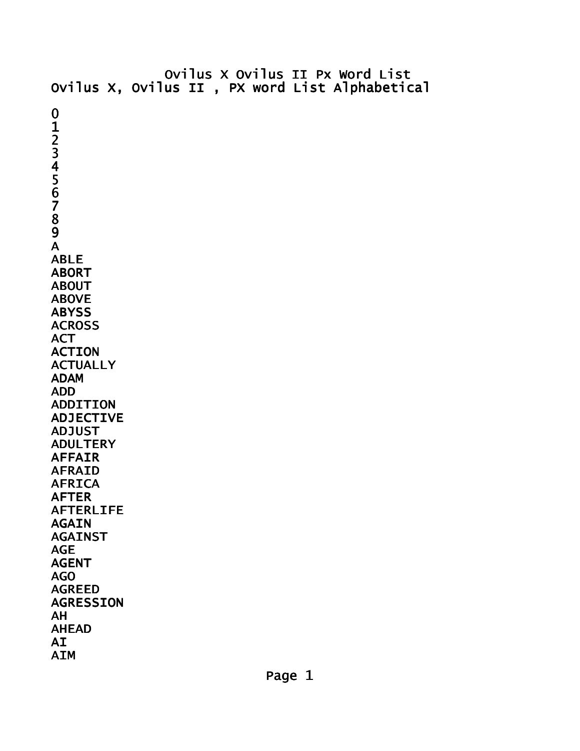Ovilus X Ovilus II Px Word List Ovilus X, Ovilus II , PX word List Alphabetical 0 1 2 3 4 5 6 7 8 9 A ABLE ABORT ABOUT ABOVE **ABYSS ACROSS** ACT ACTION **ACTUALLY** ADAM ADD ADDITION ADJECTIVE ADJUST ADULTERY AFFAIR AFRAID AFRICA AFTER AFTERLIFE AGAIN AGAINST AGE AGENT AGO AGREED AGRESSION AH AHEAD AI AIM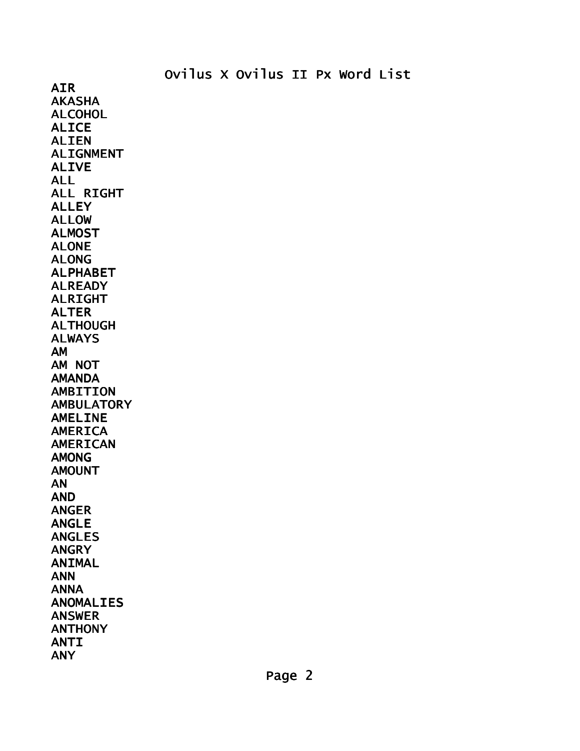AIR AKASHA ALCOHOL ALICE ALIEN ALIGNMENT ALIVE ALL ALL RIGHT ALLEY ALLOW ALMOST ALONE ALONG ALPHABET ALREADY ALRIGHT ALTER ALTHOUGH ALWAYS AM AM NOT AMANDA AMBITION **AMBULATORY** AMELINE AMERICA AMERICAN AMONG AMOUNT AN AND ANGER ANGLE ANGLES ANGRY ANIMAL ANN ANNA ANOMALIES ANSWER ANTHONY ANTI ANY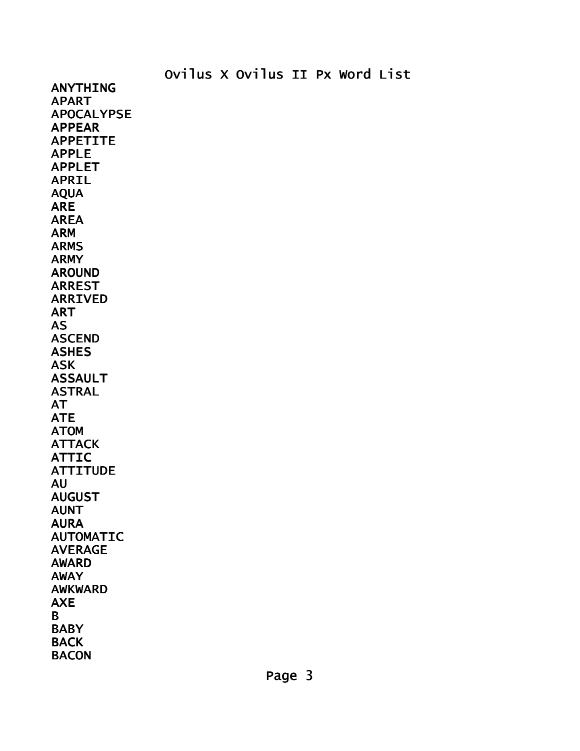ANYTHING APART APOCALYPSE APPEAR APPETITE APPLE APPLET APRIL AQUA ARE AREA ARM ARMS ARMY AROUND ARREST ARRIVED ART AS ASCEND ASHES ASK ASSAULT ASTRAL AT ATE ATOM **ATTACK** ATTIC **ATTITUDE** AU AUGUST AUNT AURA AUTOMATIC AVERAGE AWARD AWAY AWKWARD AXE B **BABY BACK BACON**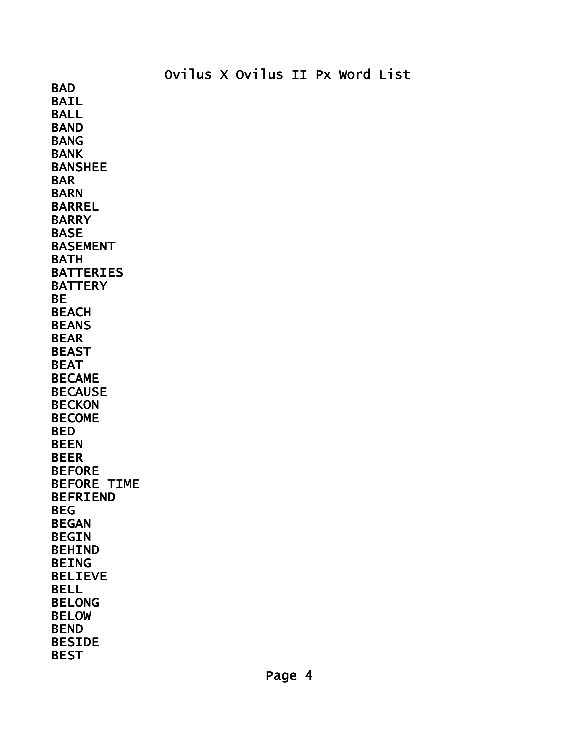BAIL BALL **BAND** BANG BANK BANSHEE BAR BARN BARREL BARRY BASE BASEMENT BATH **BATTERIES BATTERY** BE BEACH BEANS BEAR BEAST BEAT BECAME BECAUSE **BECKON** BECOME BED BEEN BEER BEFORE BEFORE TIME BEFRIEND BEG BEGAN BEGIN BEHIND BEING BELIEVE BELL BELONG BELOW BEND BESIDE BEST

**BAD**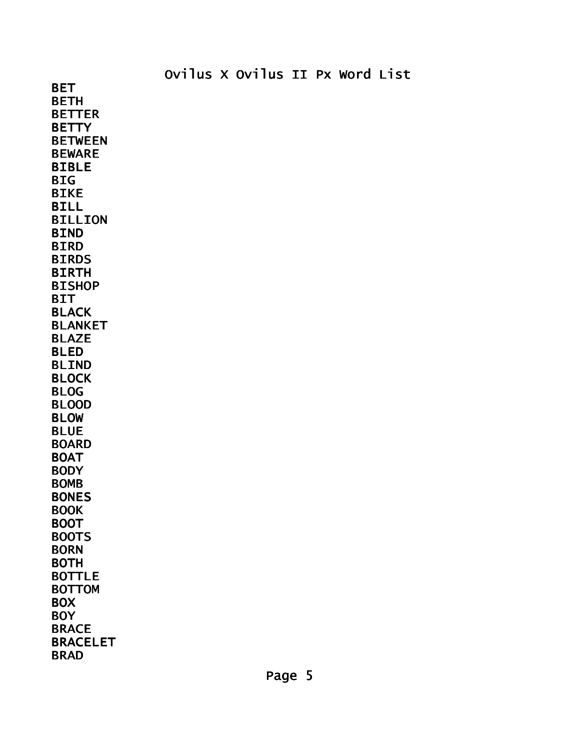BET **BETH** BETTER **BETTY** BETWEEN BEWARE BIBLE **BIG** BIKE BILL BILLION BIND BIRD **BIRDS** BIRTH BISHOP **BIT** BLACK BLANKET BLAZE BLED BLIND BLOCK BLOG BLOOD BLOW BLUE BOARD BOAT **BODY** BOMB BONES BOOK BOOT BOOTS BORN BOTH BOTTLE BOTTOM **BOX BOY** BRACE BRACELET BRAD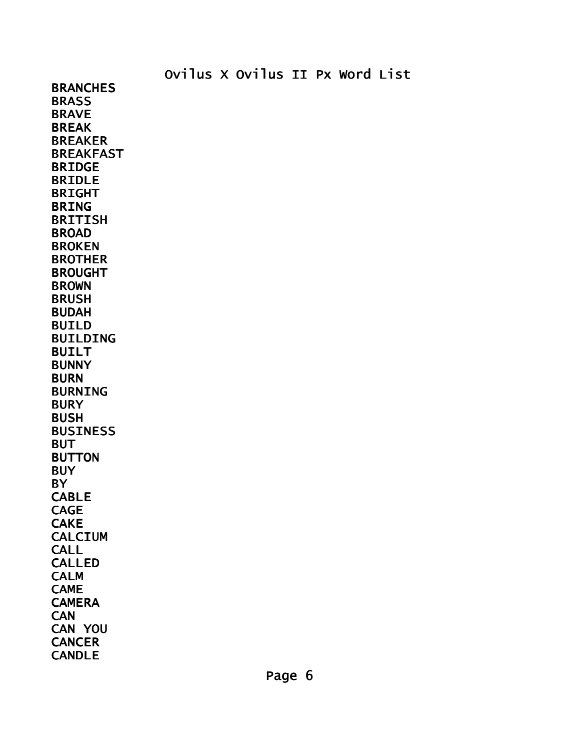**BRANCHES BRASS** BRAVE BREAK BREAKER BREAKFAST BRIDGE BRIDLE BRIGHT BRING BRITISH BROAD BROKEN BROTHER BROUGHT BROWN BRUSH BUDAH BUILD BUILDING BUILT BUNNY BURN BURNING **BURY** BUSH BUSINESS **BUT** BUTTON **BUY BY** CABLE CAGE **CAKE** CALCIUM **CALL** CALLED CALM CAME **CAMERA CAN** CAN YOU **CANCER** CANDLE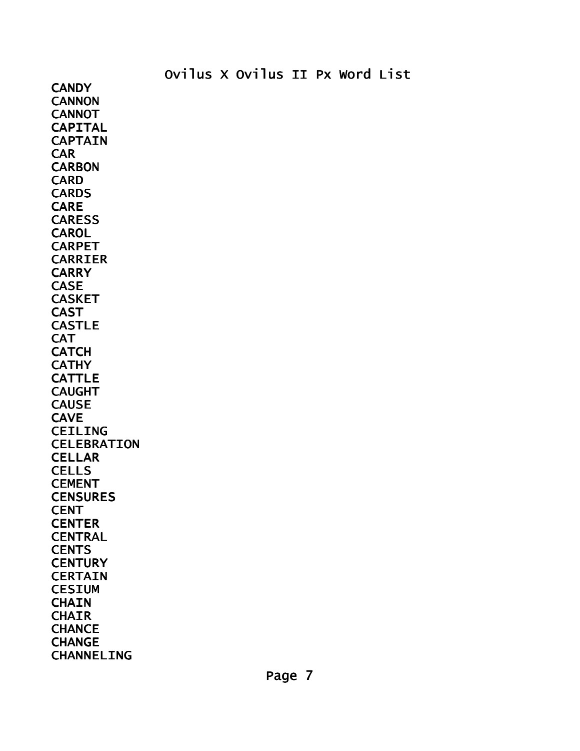**CANDY CANNON CANNOT** CAPITAL CAPTAIN CAR **CARBON** CARD **CARDS** CARE CARESS **CAROL** CARPET CARRIER **CARRY** CASE CASKET CAST CASTLE **CAT CATCH CATHY** CATTLE CAUGHT **CAUSE CAVE** CEILING CELEBRATION **CELLAR CELLS** CEMENT **CENSURES CENT CENTER** CENTRAL **CENTS CENTURY CERTAIN CESIUM CHAIN CHAIR CHANCE CHANGE** CHANNELING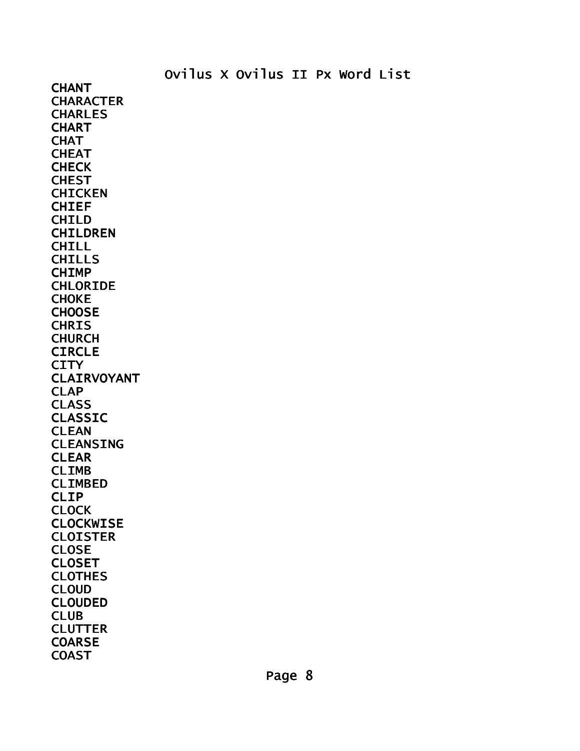**CHANT CHARACTER CHARLES CHART CHAT CHEAT CHECK CHEST CHICKEN** CHIEF CHILD CHILDREN **CHILL** CHILLS CHIMP CHLORIDE CHOKE **CHOOSE CHRIS** CHURCH **CIRCLE CITY** CLAIRVOYANT CLAP CLASS CLASSIC CLEAN CLEANSING CLEAR CLIMB CLIMBED CLIP **CLOCK** CLOCKWISE **CLOISTER CLOSE** CLOSET CLOTHES CLOUD CLOUDED CLUB **CLUTTER COARSE COAST**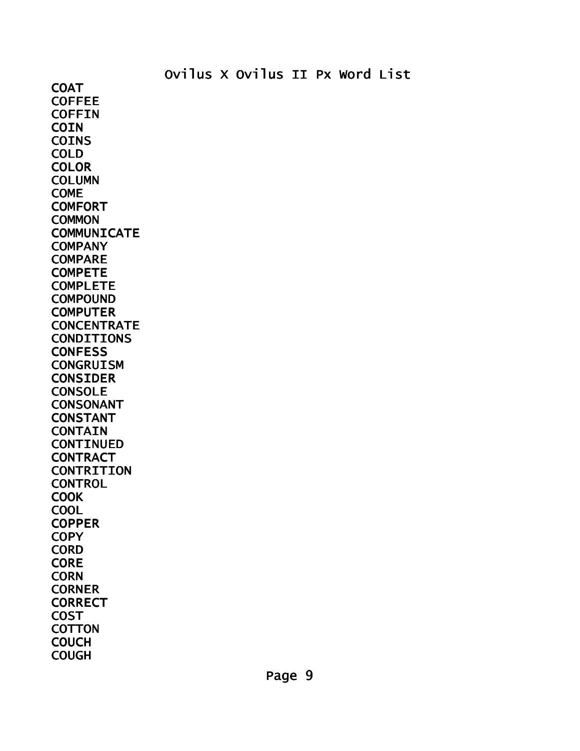**COAT COFFEE COFFIN COIN** COINS COLD **COLOR** COLUMN COME **COMFORT COMMON COMMUNICATE COMPANY** COMPARE COMPETE COMPLETE COMPOUND **COMPUTER CONCENTRATE** CONDITIONS **CONFESS CONGRUISM** CONSIDER CONSOLE CONSONANT CONSTANT **CONTAIN** CONTINUED **CONTRACT CONTRITION CONTROL COOK** COOL **COPPER COPY CORD CORE CORN CORNER CORRECT** COST **COTTON COUCH COUGH**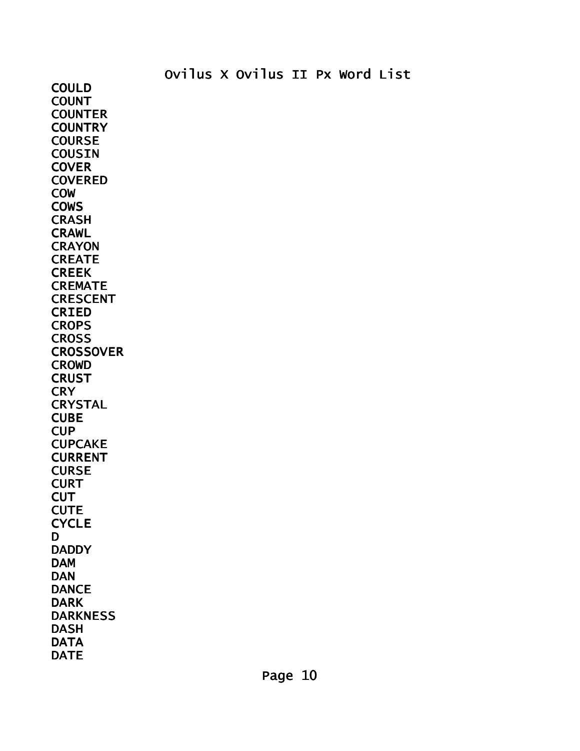COULD COUNT COUNTER **COUNTRY COURSE COUSIN COVER COVERED** COW **COWS CRASH** CRAWL **CRAYON** CREATE **CREEK CREMATE** CRESCENT CRIED **CROPS CROSS CROSSOVER** CROWD **CRUST CRY CRYSTAL CUBE** CUP CUPCAKE CURRENT **CURSE CURT CUT CUTE CYCLE** D **DADDY** DAM DAN **DANCE** DARK DARKNESS DASH **DATA** DATE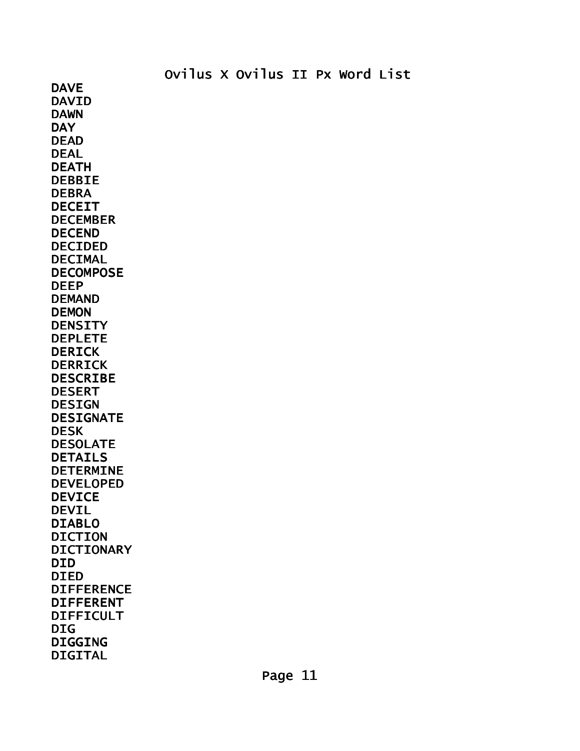DAVE DAVID DAWN **DAY** DEAD DEAL DEATH DEBBIE DEBRA DECEIT DECEMBER DECEND DECIDED DECIMAL DECOMPOSE DEEP DEMAND DEMON **DENSITY** DEPLETE **DERICK** DERRICK DESCRIBE DESERT DESIGN DESIGNATE DESK DESOLATE DETAILS DETERMINE DEVELOPED DEVICE DEVIL DIABLO DICTION DICTIONARY DID DIED DIFFERENCE DIFFERENT DIFFICULT DIG DIGGING DIGITAL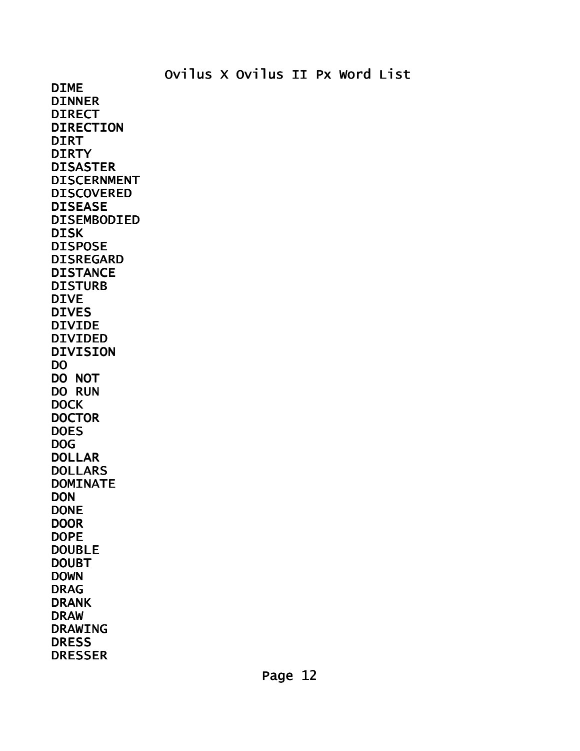DIME DINNER DIRECT DIRECTION DIRT **DIRTY** DISASTER DISCERNMENT DISCOVERED DISEASE DISEMBODIED DISK DISPOSE DISREGARD **DISTANCE** DISTURB DIVE DIVES DIVIDE DIVIDED DIVISION DO DO NOT DO RUN **DOCK DOCTOR DOES** DOG DOLLAR DOLLARS DOMINATE **DON** DONE **DOOR** DOPE DOUBLE DOUBT DOWN DRAG DRANK DRAW DRAWING **DRESS** DRESSER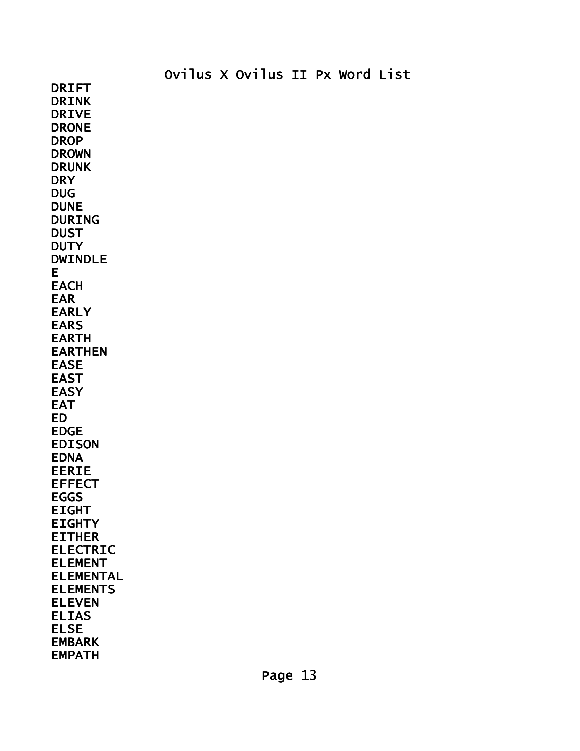DRINK DRIVE DRONE DROP DROWN DRUNK **DRY** DUG DUNE DURING **DUST DUTY** DWINDLE E **EACH** EAR EARLY EARS EARTH EARTHEN EASE EAST EASY EAT ED EDGE EDISON EDNA EERIE EFFECT EGGS EIGHT **EIGHTY** EITHER ELECTRIC ELEMENT ELEMENTAL ELEMENTS ELEVEN ELIAS ELSE EMBARK EMPATH

DRIFT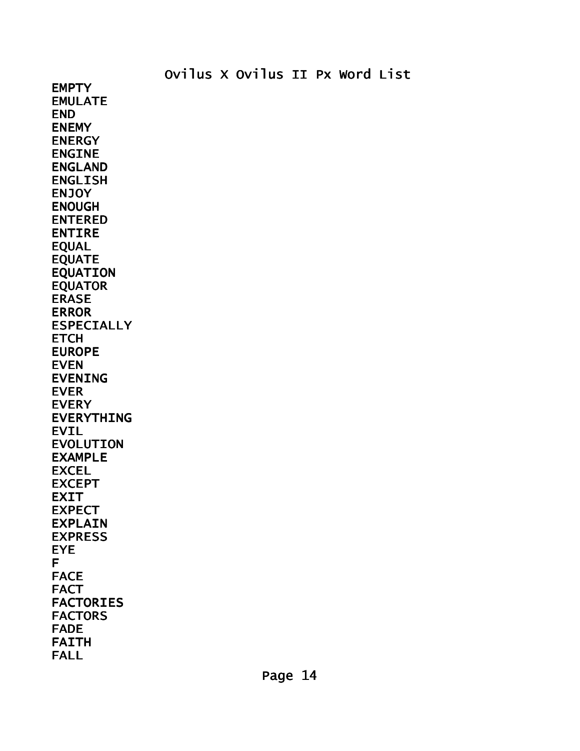EMPTY EMULATE END ENEMY ENERGY ENGINE ENGLAND ENGLISH **ENJOY** ENOUGH ENTERED ENTIRE EQUAL EQUATE EQUATION EQUATOR ERASE ERROR ESPECIALLY **ETCH** EUROPE EVEN EVENING EVER EVERY EVERYTHING EVIL EVOLUTION EXAMPLE **EXCEL** EXCEPT EXIT EXPECT EXPLAIN EXPRESS EYE F FACE **FACT** FACTORIES FACTORS FADE FAITH FALL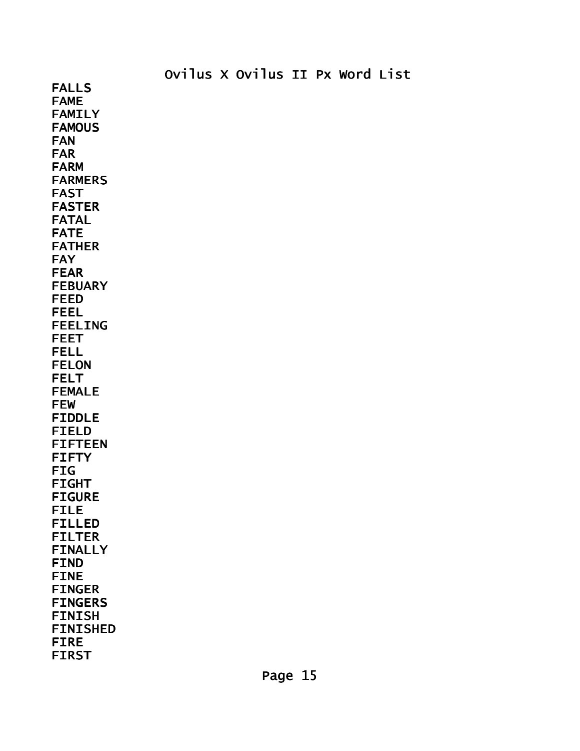FALLS FAME FAMILY **FAMOUS** FAN FAR FARM FARMERS FAST FASTER FATAL FATE FATHER FAY FEAR FEBUARY FEED FEEL FEELING FEET FELL FELON FELT FEMALE FEW FIDDLE FIELD FIFTEEN FIFTY FIG FIGHT FIGURE FILE FILLED FILTER FINALLY FIND FINE FINGER FINGERS FINISH FINISHED FIRE FIRST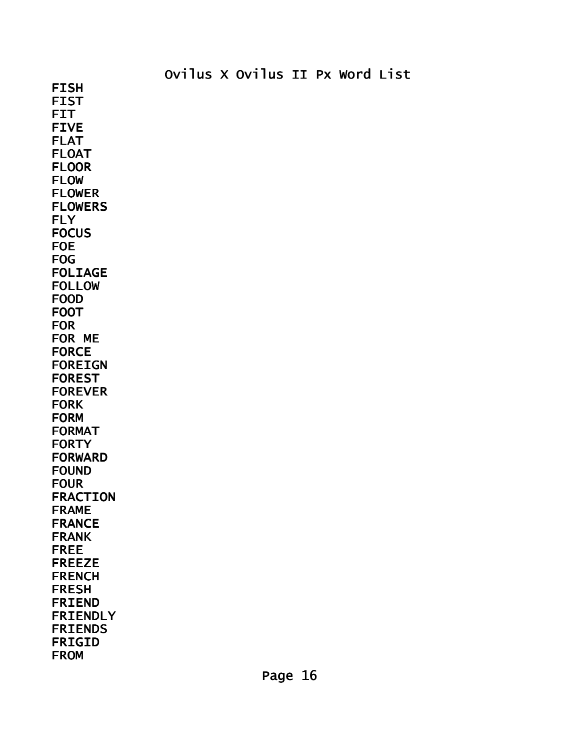FISH FIST FIT FIVE FLAT FLOAT FLOOR FLOW FLOWER FLOWERS **FLY FOCUS** FOE FOG FOLIAGE FOLLOW FOOD FOOT FOR FOR ME FORCE FOREIGN FOREST FOREVER FORK FORM FORMAT FORTY FORWARD FOUND FOUR FRACTION FRAME FRANCE FRANK FREE FREEZE FRENCH FRESH FRIEND FRIENDLY FRIENDS

FRIGID FROM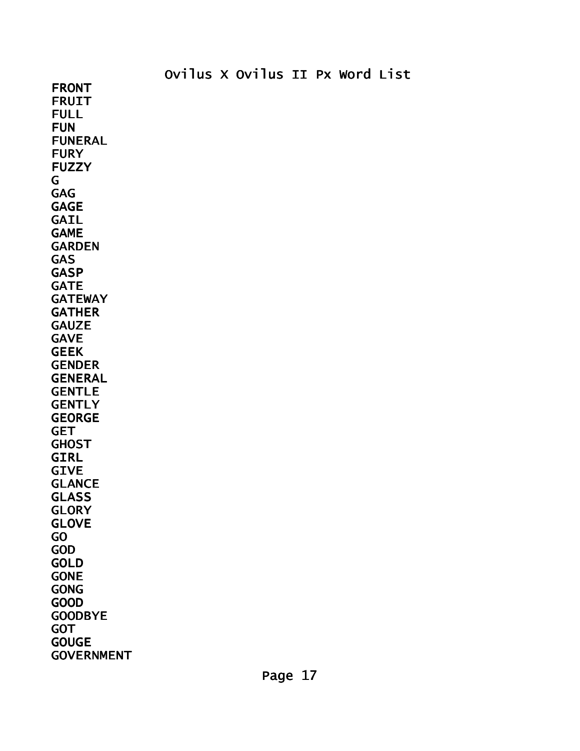FRONT FRUIT FULL FUN FUNERAL FURY FUZZY G GAG GAGE GAIL GAME GARDEN GAS **GASP** GATE **GATEWAY GATHER GAUZE** GAVE GEEK GENDER GENERAL GENTLE **GENTLY** GEORGE GET **GHOST** GIRL GIVE GLANCE GLASS **GLORY** GLOVE GO GOD GOLD GONE GONG GOOD GOODBYE GOT **GOUGE** GOVERNMENT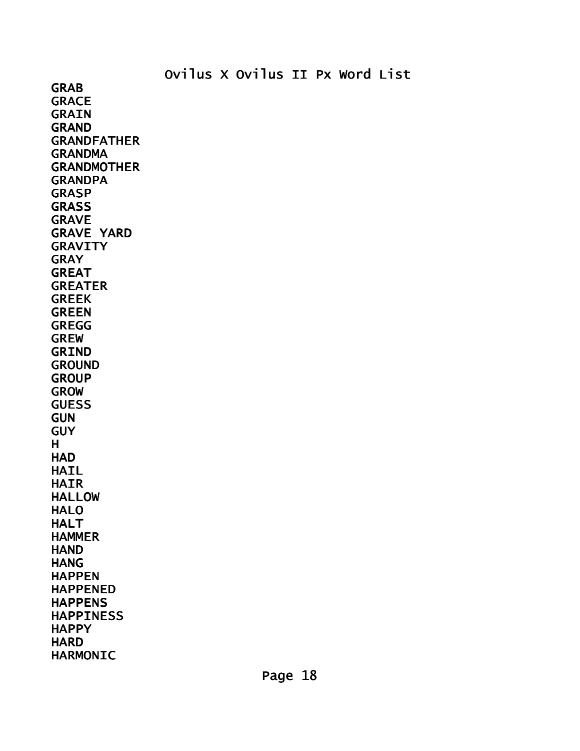GRAB **GRACE** GRAIN GRAND GRANDFATHER **GRANDMA** GRANDMOTHER **GRANDPA GRASP GRASS** GRAVE GRAVE YARD **GRAVITY** GRAY GREAT GREATER GREEK GREEN GREGG GREW GRIND GROUND **GROUP** GROW GUESS **GUN GUY** H **HAD HAIL** HAIR HALLOW HALO **HALT HAMMER HAND HANG** HAPPEN HAPPENED HAPPENS HAPPINESS **HAPPY HARD** HARMONIC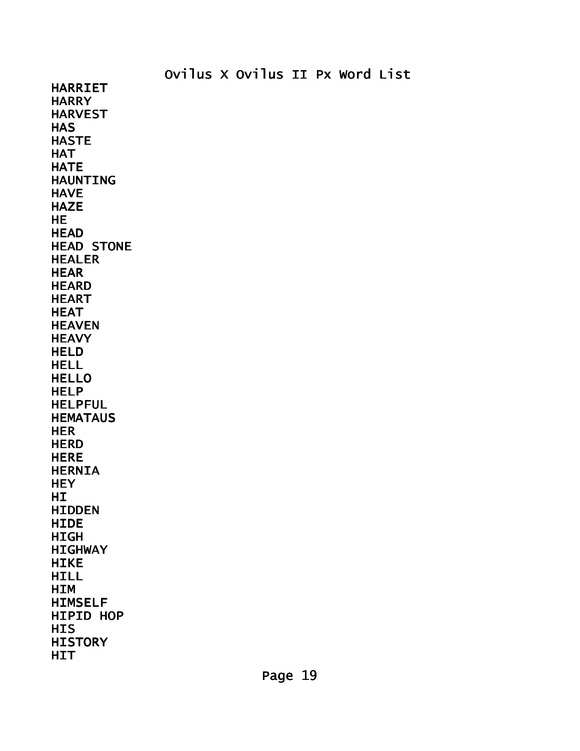HARRIET **HARRY** HARVEST **HAS** HASTE **HAT HATE** HAUNTING **HAVE HAZE HE HEAD** HEAD STONE HEALER **HEAR HEARD** HEART **HEAT HEAVEN HEAVY HELD** HELL HELLO HELP HELPFUL **HEMATAUS HER HERD HERE** HERNIA **HEY** HI<sub>1</sub> HIDDEN **HIDE** HIGH HIGHWAY **HIKE** HILL HIM HIMSELF HIPID HOP HIS **HISTORY HIT**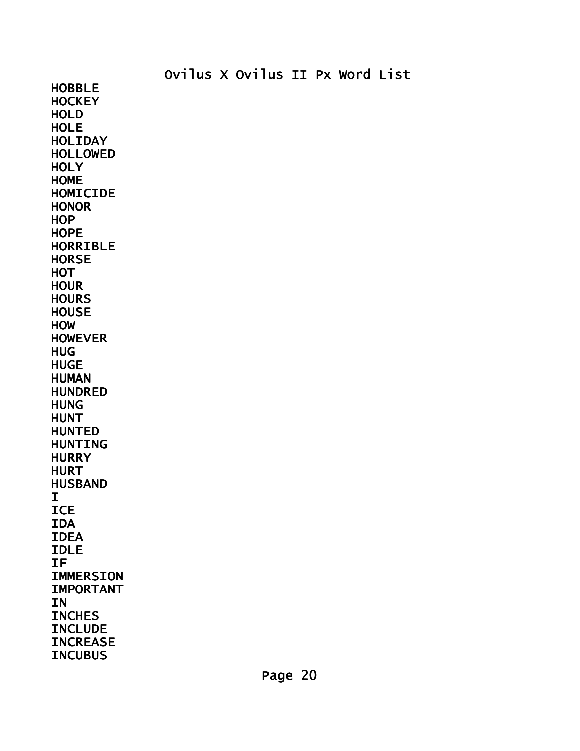HOBBLE **HOCKEY** HOLD **HOLE** HOLIDAY HOLLOWED **HOLY** HOME HOMICIDE **HONOR HOP HOPE** HORRIBLE **HORSE HOT HOUR HOURS HOUSE HOW** HOWEVER HUG HUGE HUMAN HUNDRED **HUNG** HUNT HUNTED HUNTING **HURRY HURT** HUSBAND I **ICE** IDA IDEA IDLE IF IMMERSION IMPORTANT **IN INCHES INCLUDE INCREASE INCUBUS**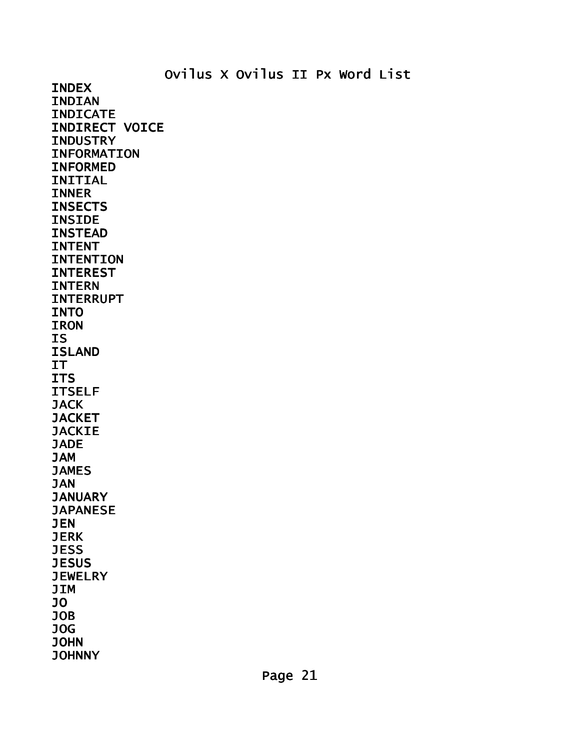INDEX INDIAN INDICATE INDIRECT VOICE **INDUSTRY** INFORMATION INFORMED INITIAL INNER **INSECTS** INSIDE INSTEAD INTENT INTENTION **INTEREST** INTERN INTERRUPT INTO **IRON** IS ISLAND IT ITS ITSELF **JACK JACKET JACKIE** JADE JAM **JAMES** JAN **JANUARY JAPANESE JEN JERK JESS JESUS JEWELRY** JIM JO JOB JOG JOHN **JOHNNY**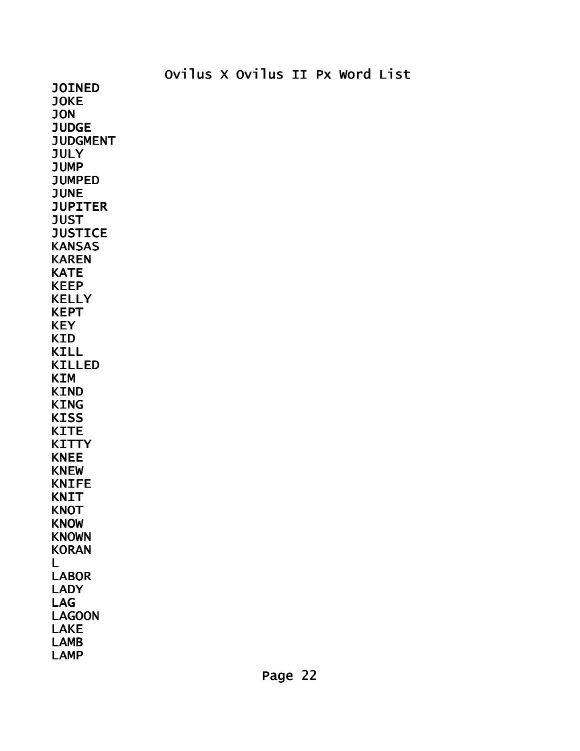JOINED JOKE JON **JUDGE JUDGMENT JULY** JUMP JUMPED **JUNE JUPITER JUST JUSTICE KANSAS** KAREN **KATE** KEEP KELLY KEPT **KEY** KID KILL KILLED KIM KIND KING **KISS** KITE **KITTY** KNEE KNEW KNIFE **KNIT KNOT** KNOW KNOWN **KORAN** L LABOR LADY LAG LAGOON LAKE LAMB LAMP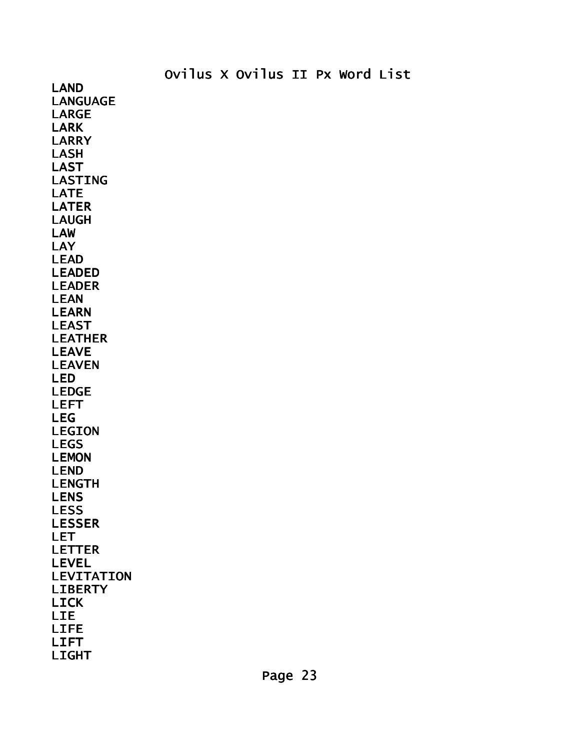LAND LANGUAGE LARGE LARK LARRY LASH LAST LASTING LATE LATER LAUGH LAW **LAY** LEAD LEADED LEADER LEAN LEARN LEAST LEATHER LEAVE LEAVEN LED LEDGE LEFT LEG LEGION LEGS LEMON LEND LENGTH LENS LESS LESSER LET LETTER LEVEL LEVITATION LIBERTY LICK LIE LIFE LIFT LIGHT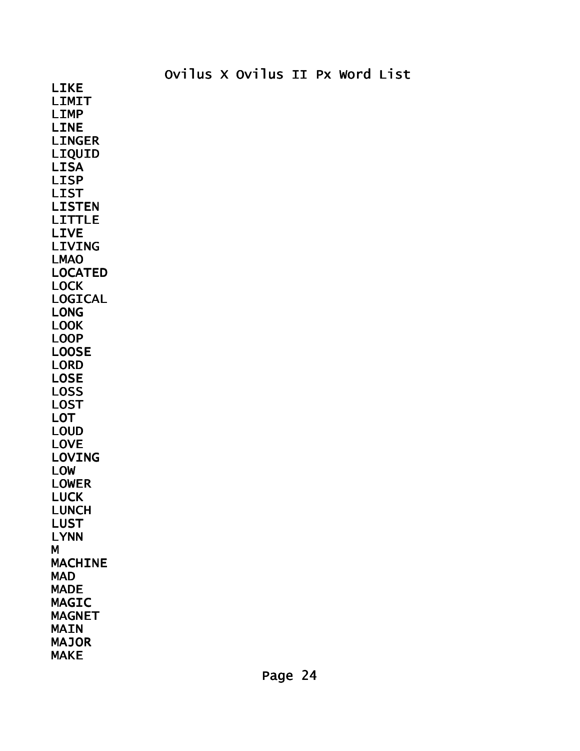LIMIT LIMP LINE LINGER LIQUID LISA LISP LIST LISTEN LITTLE LIVE LIVING LMAO LOCATED LOCK LOGICAL LONG LOOK LOOP LOOSE LORD LOSE LOSS LOST LOT LOUD LOVE LOVING LOW LOWER LUCK LUNCH LUST LYNN M **MACHINE** MAD MADE MAGIC MAGNET MAIN MAJOR MAKE

LIKE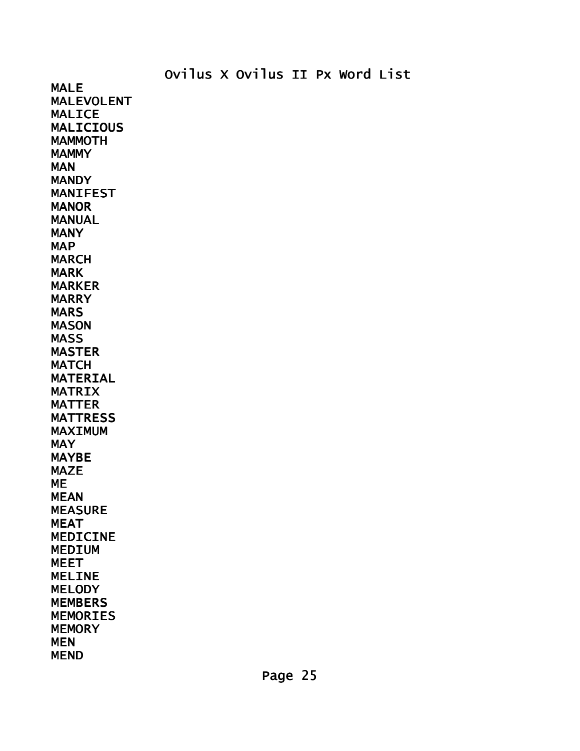MALE MALEVOLENT MALICE MALICIOUS MAMMOTH **MAMMY** MAN **MANDY** MANIFEST **MANOR** MANUAL MANY **MAP** MARCH MARK MARKER MARRY MARS MASON MASS MASTER **MATCH** MATERIAL MATRIX MATTER **MATTRESS** MAXIMUM **MAY** MAYBE MAZE ME MEAN MEASURE MEAT MEDICINE MEDIUM MEET MELINE **MELODY** MEMBERS MEMORIES **MEMORY** MEN MEND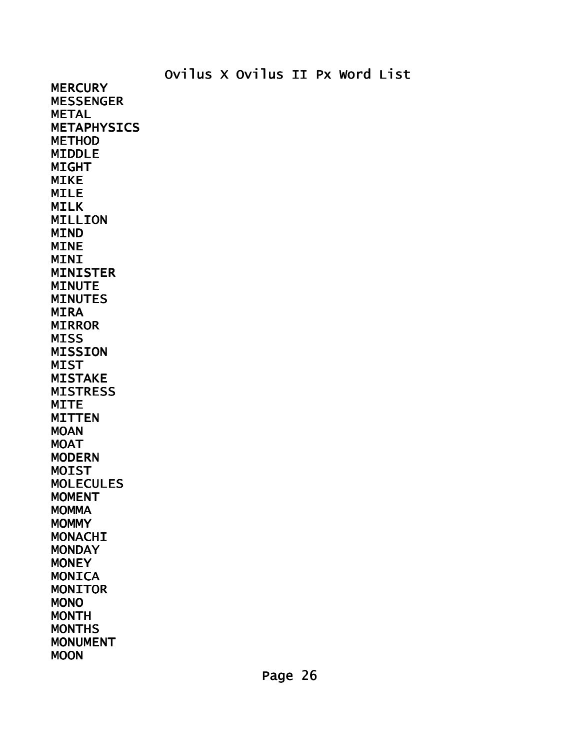**MERCURY MESSENGER** METAL METAPHYSICS METHOD MIDDLE MIGHT MIKE MILE MILK MILLION MIND MINE MINI MINISTER MINUTE MINUTES MIRA MIRROR MISS MISSION **MIST** MISTAKE **MISTRESS MITE** MITTEN **MOAN MOAT** MODERN MOIST MOLECULES MOMENT **MOMMA MOMMY** MONACHI **MONDAY MONEY MONICA** MONITOR

MONO MONTH MONTHS MONUMENT

**MOON**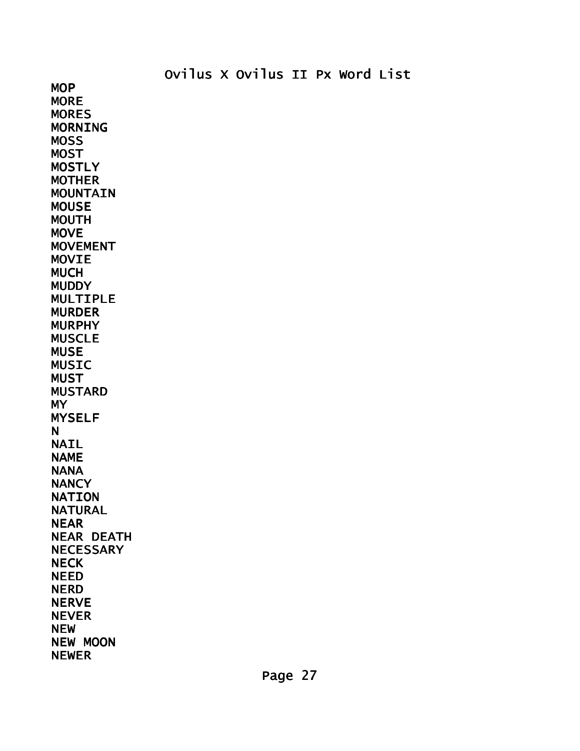MOP **MORE MORES** MORNING MOSS **MOST MOSTLY** MOTHER **MOUNTAIN** MOUSE MOUTH **MOVE** MOVEMENT MOVIE **MUCH MUDDY** MULTIPLE MURDER MURPHY MUSCLE **MUSE** MUSIC MUST MUSTARD MY MYSELF N **NAIL** NAME **NANA NANCY** NATION NATURAL NEAR NEAR DEATH **NECESSARY NECK** NEED NERD **NERVE** NEVER NEW NEW MOON NEWER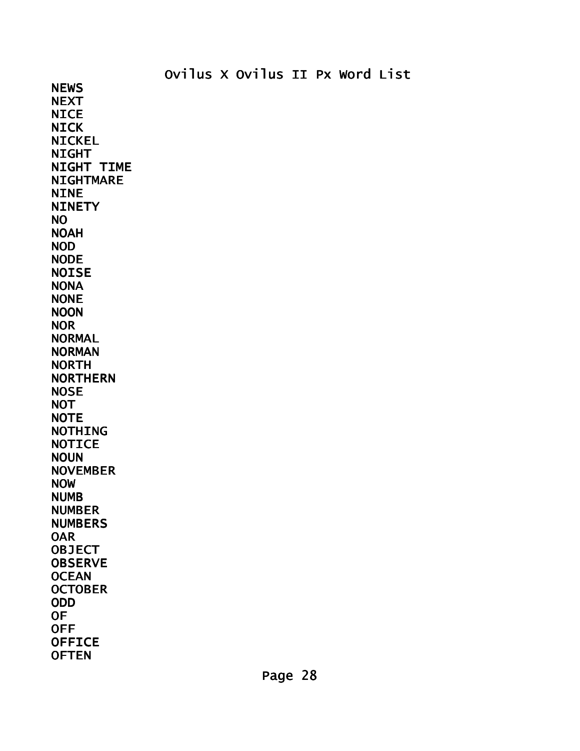NEWS **NEXT NICE NICK** NICKEL **NIGHT** NIGHT TIME NIGHTMARE **NINE NINETY** NO NOAH NOD NODE **NOISE** NONA NONE NOON NOR NORMAL NORMAN NORTH NORTHERN NOSE **NOT NOTE** NOTHING **NOTICE NOUN** NOVEMBER NOW NUMB NUMBER NUMBERS OAR **OBJECT OBSERVE OCEAN OCTOBER** ODD OF OFF **OFFICE OFTEN**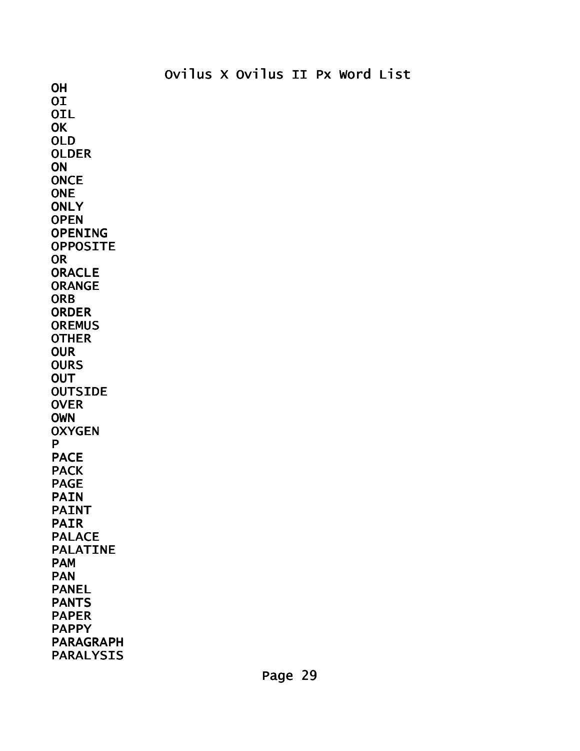**OH OI OIL OK** OLD OLDER **ON ONCE ONE ONLY OPEN** OPENING OPPOSITE OR **ORACLE** ORANGE **ORB** ORDER **OREMUS OTHER OUR OURS OUT OUTSIDE OVER** OWN **OXYGEN** P PACE **PACK** PAGE PAIN PAINT PAIR PALACE PALATINE PAM PAN PANEL PANTS PAPER PAPPY PARAGRAPH PARALYSIS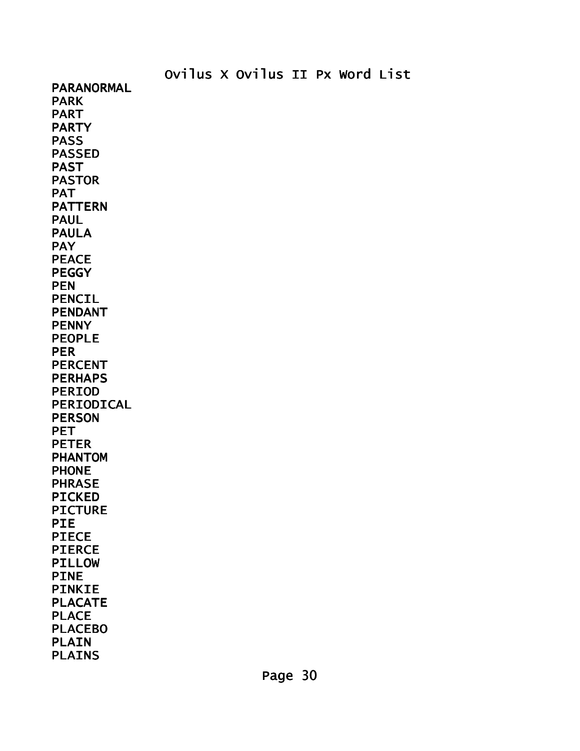Ovilus X Ovilus II Px Word List PARANORMAL PARK PART PARTY PASS PASSED PAST PASTOR PAT PATTERN PAUL PAULA **PAY** PEACE PEGGY PEN PENCIL PENDANT **PENNY** PEOPLE PER PERCENT PERHAPS PERIOD PERIODICAL PERSON PET PETER PHANTOM PHONE PHRASE PICKED PICTURE PIE PIECE PIERCE PILLOW PINE PINKIE PLACATE PLACE PLACEBO PLAIN PLAINS

Page 30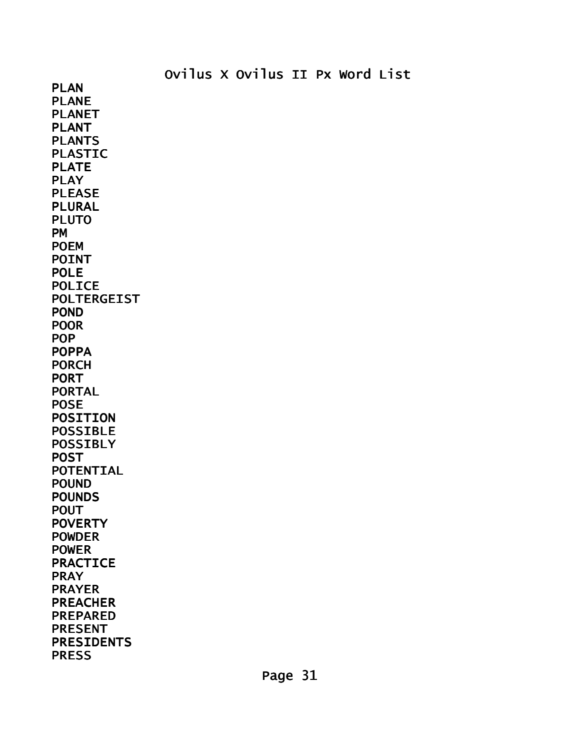PLAN PLANE PLANET PLANT PLANTS PLASTIC PLATE PLAY PLEASE PLURAL PLUTO PM POEM POINT POLE POLICE POLTERGEIST POND POOR POP POPPA PORCH PORT PORTAL POSE POSITION POSSIBLE POSSIBLY **POST** POTENTIAL POUND POUNDS POUT **POVERTY** POWDER POWER PRACTICE PRAY PRAYER PREACHER PREPARED PRESENT PRESIDENTS PRESS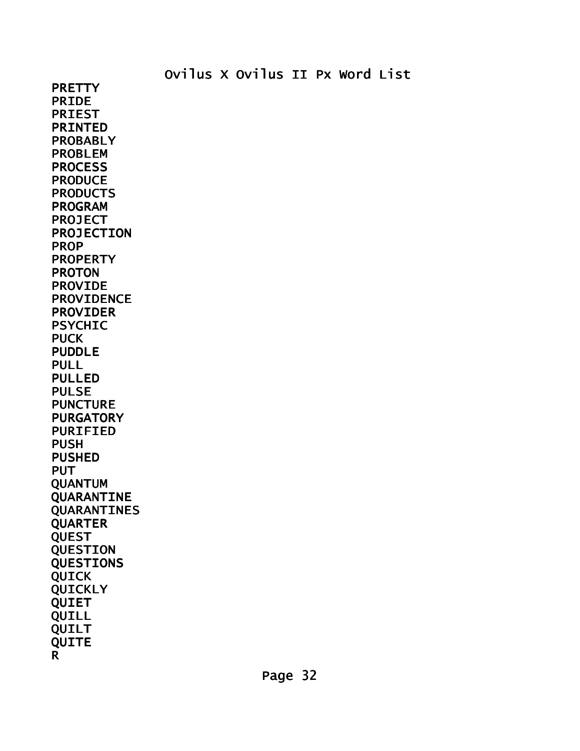**PRETTY** PRIDE PRIEST PRINTED PROBABLY PROBLEM **PROCESS PRODUCE PRODUCTS** PROGRAM PROJECT PROJECTION PROP PROPERTY PROTON PROVIDE PROVIDENCE PROVIDER PSYCHIC PUCK PUDDLE PULL PULLED PULSE PUNCTURE PURGATORY PURIFIED PUSH PUSHED PUT QUANTUM QUARANTINE QUARANTINES QUARTER QUEST QUESTION QUESTIONS QUICK QUICKLY QUIET QUILL QUILT QUITE R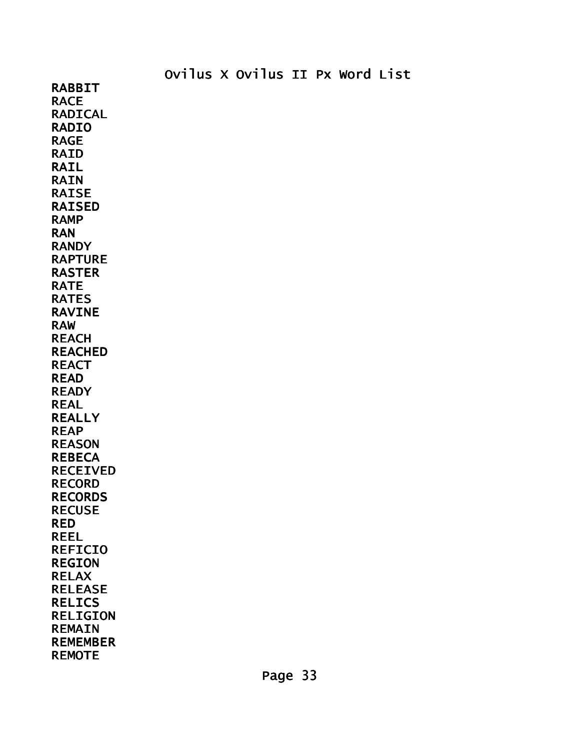RABBIT RACE RADICAL RADIO RAGE RAID RAIL RAIN RAISE RAISED RAMP RAN **RANDY** RAPTURE RASTER RATE RATES RAVINE RAW REACH REACHED **REACT** READ **READY** REAL REALLY REAP REASON **REBECA** RECEIVED RECORD RECORDS RECUSE RED REEL REFICIO REGION RELAX RELEASE RELICS RELIGION REMAIN **REMEMBER** REMOTE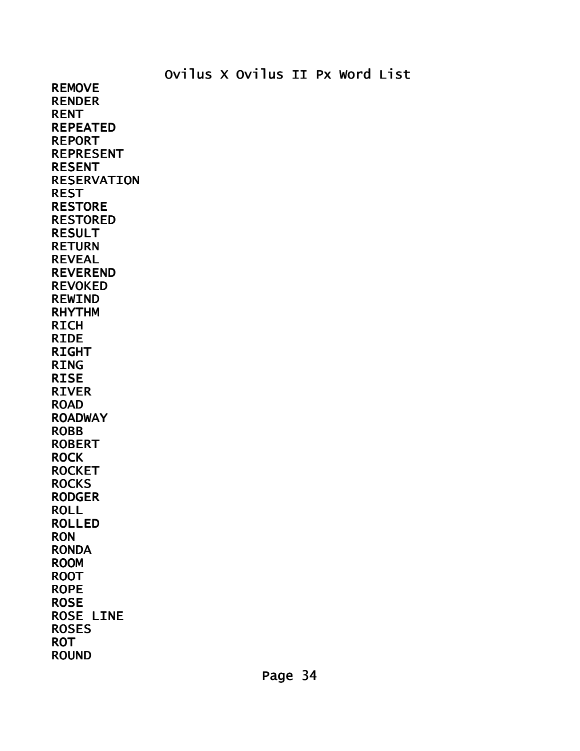REMOVE RENDER RENT REPEATED REPORT REPRESENT RESENT RESERVATION REST RESTORE RESTORED RESULT RETURN REVEAL REVEREND REVOKED REWIND RHYTHM RICH RIDE RIGHT RING RISE RIVER ROAD ROADWAY ROBB ROBERT ROCK ROCKET **ROCKS** RODGER ROLL ROLLED RON RONDA ROOM ROOT ROPE ROSE ROSE LINE ROSES ROT ROUND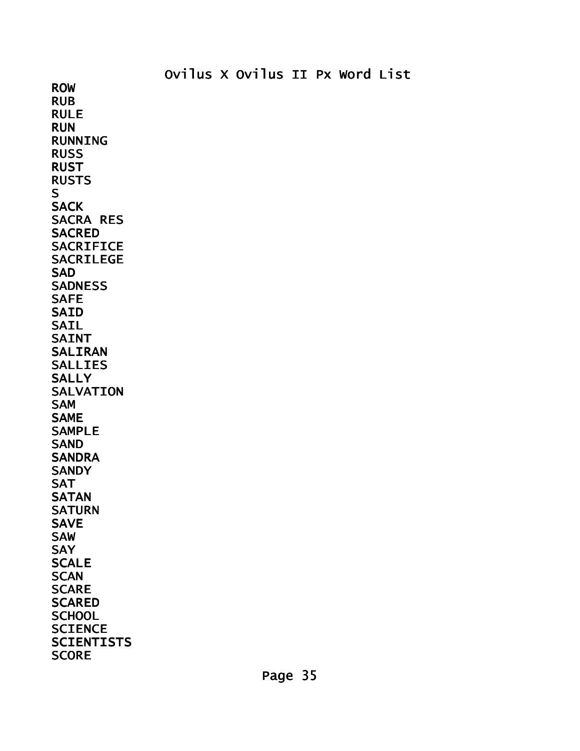ROW RUB RULE RUN RUNNING RUSS RUST RUSTS S **SACK** SACRA RES **SACRED SACRIFICE** SACRILEGE SAD SADNESS SAFE SAID SAIL SAINT SALIRAN SALLIES **SALLY** SALVATION SAM SAME SAMPLE **SAND SANDRA SANDY** SAT **SATAN SATURN** SAVE SAW **SAY SCALE SCAN SCARE SCARED SCHOOL SCIENCE SCIENTISTS SCORE** 

Page 35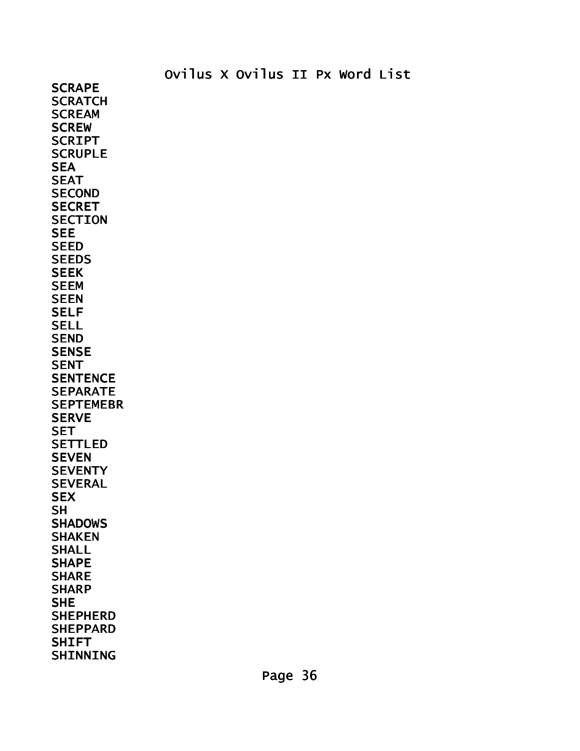**SCRAPE SCRATCH SCREAM SCREW** SCRIPT **SCRUPLE SEA** SEAT **SECOND SECRET SECTION** SEE **SEED SEEDS SEEK** SEEM **SEEN** SELF **SELL** SEND **SENSE SENT SENTENCE** SEPARATE **SEPTEMEBR SERVE SET** SETTLED **SEVEN SEVENTY** SEVERAL **SEX SH SHADOWS** SHAKEN **SHALL** SHAPE **SHARE SHARP** SHE SHEPHERD SHEPPARD **SHIFT** SHINNING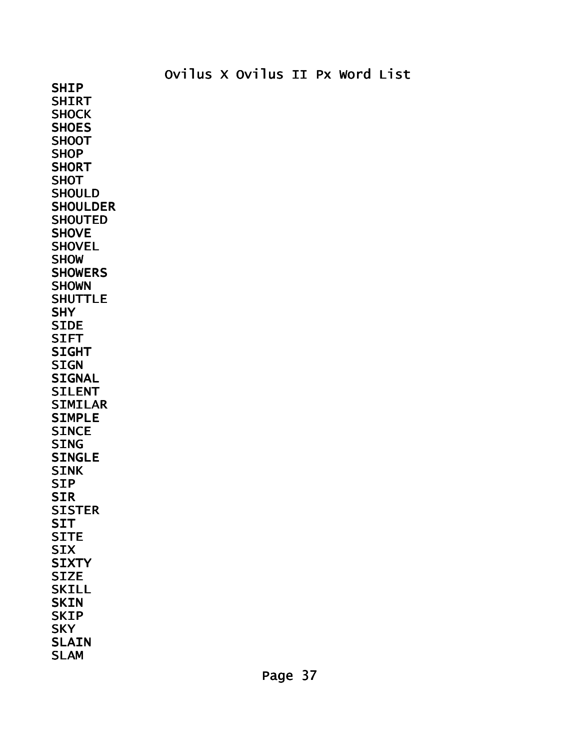SHIP **SHIRT SHOCK SHOES SHOOT SHOP SHORT SHOT SHOULD SHOULDER SHOUTED SHOVE SHOVEL SHOW SHOWERS** SHOWN **SHUTTLE** SHY **SIDE** SIFT **SIGHT SIGN SIGNAL** SILENT SIMILAR SIMPLE **SINCE** SING SINGLE SINK SIP SIR **SISTER SIT** SITE **SIX SIXTY SIZE** SKILL **SKIN SKIP SKY** SLAIN SLAM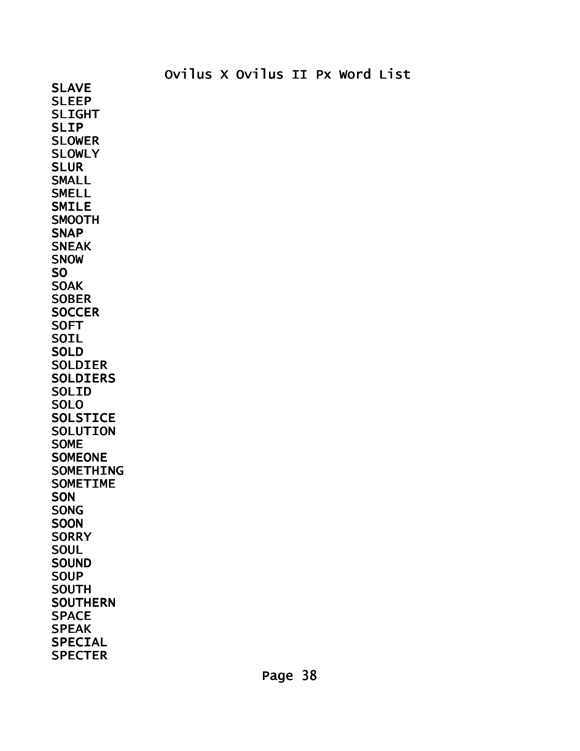SLAVE SLEEP SLIGHT SLIP SLOWER SLOWLY SLUR SMALL SMELL SMILE **SMOOTH SNAP SNEAK SNOW** SO SOAK **SOBER SOCCER SOFT** SOIL **SOLD** SOLDIER SOLDIERS SOLID **SOLO SOLSTICE** SOLUTION SOME **SOMEONE** SOMETHING SOMETIME **SON** SONG **SOON SORRY SOUL SOUND SOUP** SOUTH SOUTHERN **SPACE** SPEAK SPECIAL **SPECTER**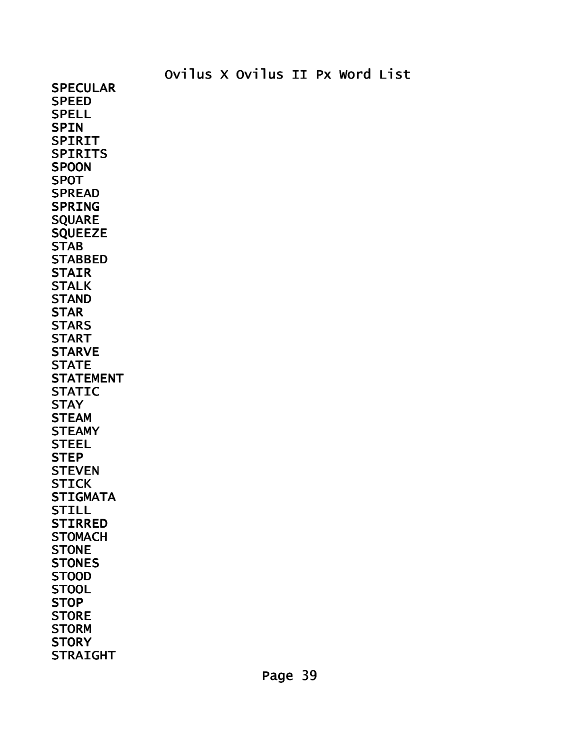SPECULAR **SPEED** SPELL **SPIN** SPIRIT **SPIRITS SPOON** SPOT **SPREAD** SPRING **SQUARE** SQUEEZE **STAB STABBED STAIR** STALK **STAND** STAR **STARS** START STARVE **STATE** STATEMENT STATIC **STAY STEAM STEAMY STEEL STEP STEVEN STICK STIGMATA** STILL STIRRED **STOMACH STONE STONES** STOOD **STOOL STOP STORE STORM STORY STRAIGHT**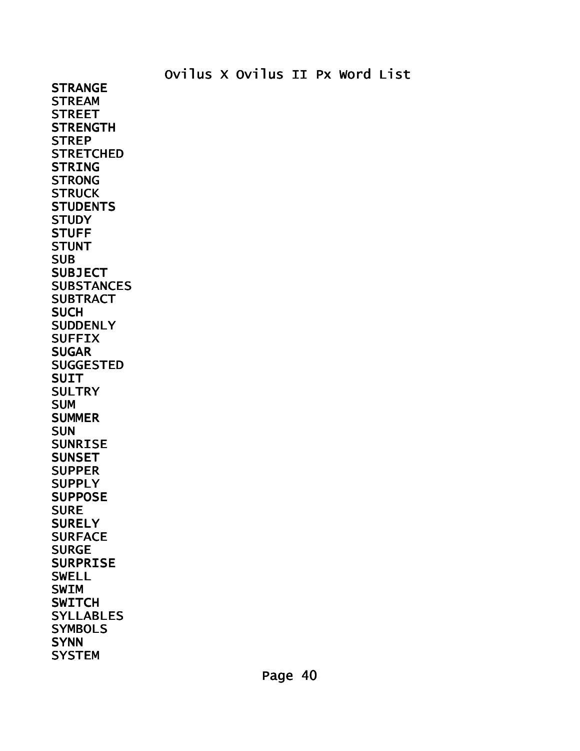**STRANGE STREAM STREET STRENGTH STREP STRETCHED** STRING STRONG **STRUCK STUDENTS STUDY** STUFF **STUNT** SUB **SUBJECT SUBSTANCES SUBTRACT SUCH SUDDENLY SUFFIX SUGAR** SUGGESTED SUIT **SULTRY SUM SUMMER** SUN SUNRISE **SUNSET SUPPER SUPPLY** SUPPOSE **SURE SURELY** SURFACE **SURGE** SURPRISE SWELL SWIM **SWITCH SYLLABLES SYMBOLS SYNN SYSTEM**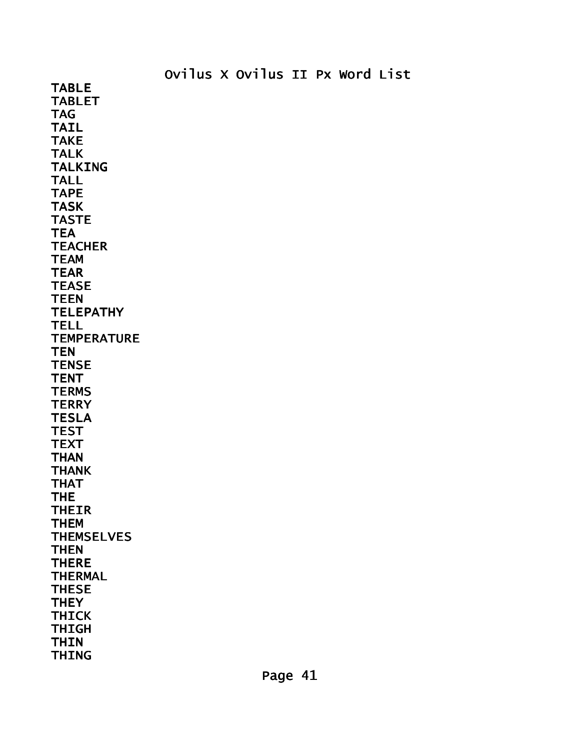TABLE TABLET TAG TAIL TAKE TALK TALKING TALL TAPE TASK TASTE **TEA TEACHER TEAM TEAR TEASE** TEEN **TELEPATHY** TELL **TEMPERATURE TEN TENSE TENT TERMS TERRY** TESLA **TEST TEXT THAN** THANK THAT THE THEIR THEM **THEMSELVES THEN** THERE THERMAL THESE **THEY** THICK THIGH **THIN** THING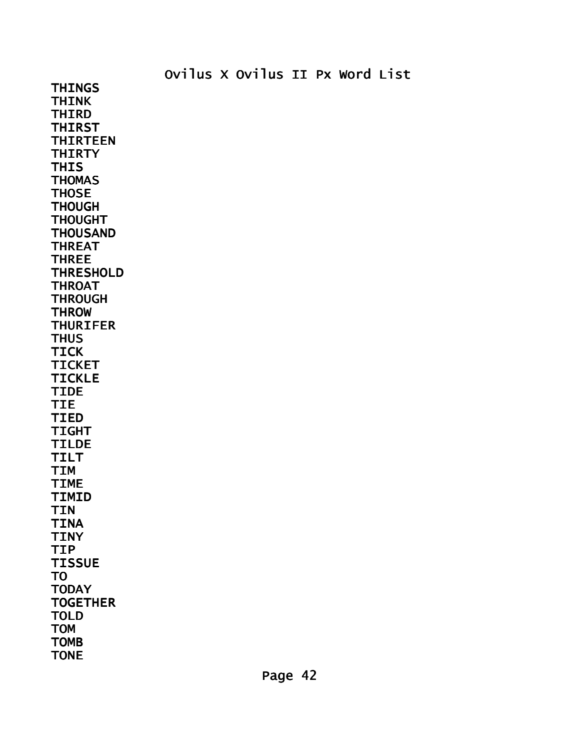THINK THIRD THIRST THIRTEEN

Ovilus X Ovilus II Px Word List

THIRTY **THIS THOMAS THOSE** THOUGH THOUGHT THOUSAND THREAT THREE **THRESHOLD** THROAT **THROUGH THROW THURIFER THUS** TICK TICKET TICKLE TIDE TIE TIED TIGHT TILDE TILT TIM TIME TIMID TIN TINA TINY TIP **TISSUE** TO **TODAY TOGETHER** TOLD TOM

THINGS

TOMB TONE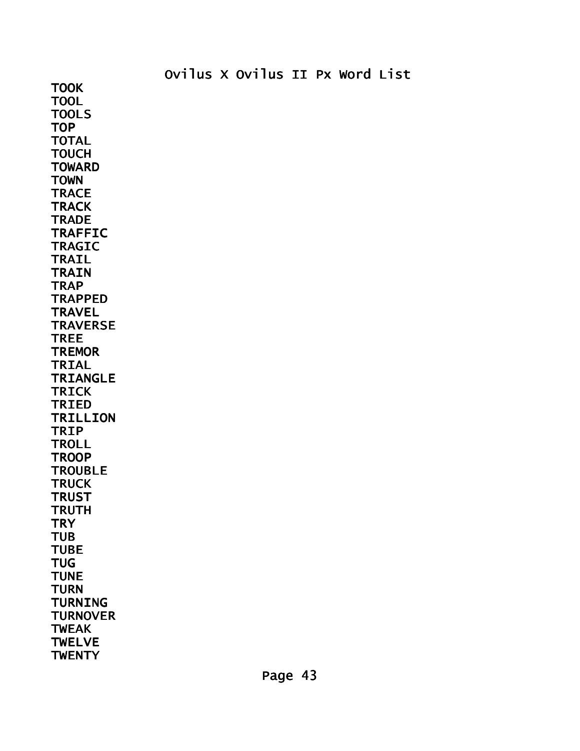**TOOK** TOOL TOOLS **TOP** TOTAL **TOUCH TOWARD TOWN TRACE TRACK TRADE** TRAFFIC TRAGIC TRAIL **TRAIN TRAP TRAPPED TRAVEL TRAVERSE** TREE **TREMOR** TRIAL TRIANGLE TRICK TRIED TRILLION TRIP **TROLL TROOP TROUBLE TRUCK TRUST TRUTH TRY** TUB **TUBE TUG TUNE TURN** TURNING **TURNOVER** TWEAK **TWELVE TWENTY**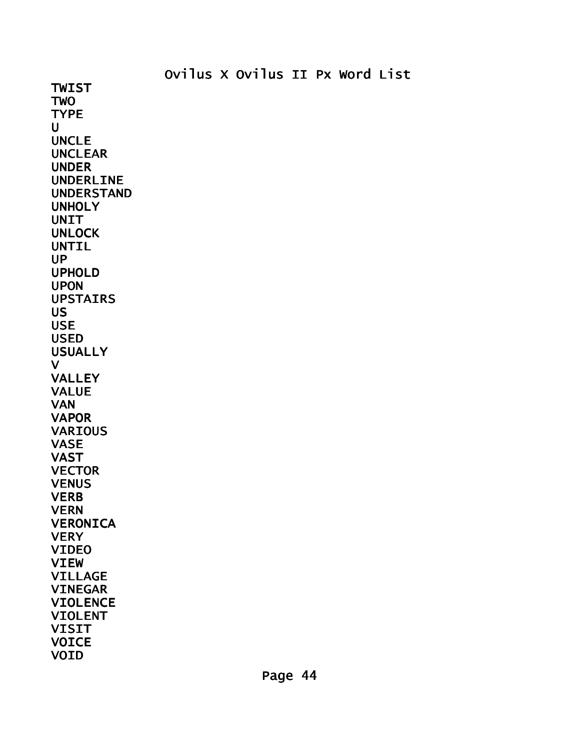TWIST TWO TYPE  $\mathbf{U}$ UNCLE UNCLEAR UNDER UNDERLINE UNDERSTAND UNHOLY **UNIT UNLOCK** UNTIL UP UPHOLD UPON UPSTAIRS US USE USED USUALLY V VALLEY VALUE VAN VAPOR **VARIOUS** VASE VAST **VECTOR VENUS VERB** VERN VERONICA **VERY** VIDEO VIEW VILLAGE VINEGAR **VIOLENCE** VIOLENT VISIT **VOICE** VOID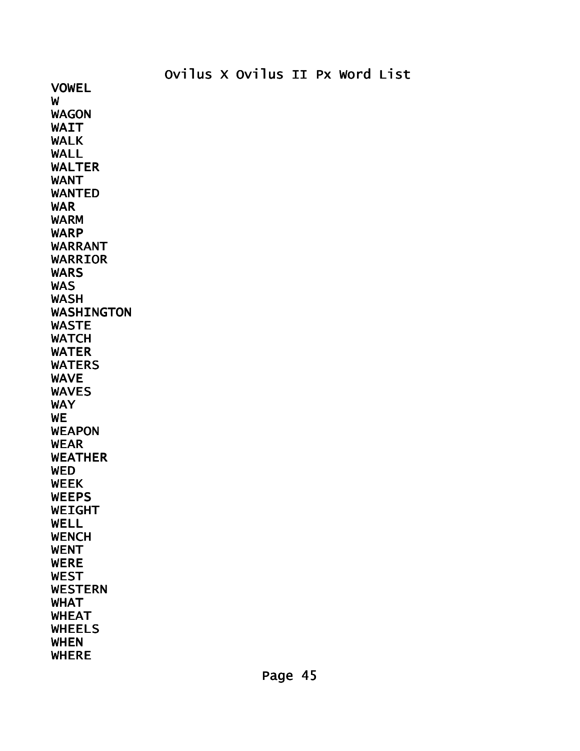VOWEL W WAGON WAIT WALK WALL WALTER WANT WANTED WAR WARM WARP WARRANT WARRIOR **WARS** WAS WASH WASHINGTON WASTE **WATCH** WATER WATERS WAVE WAVES WAY **WE** WEAPON WEAR WEATHER **WED** WEEK **WEEPS** WEIGHT WELL WENCH WENT WERE WEST WESTERN WHAT WHEAT WHEELS WHEN WHERE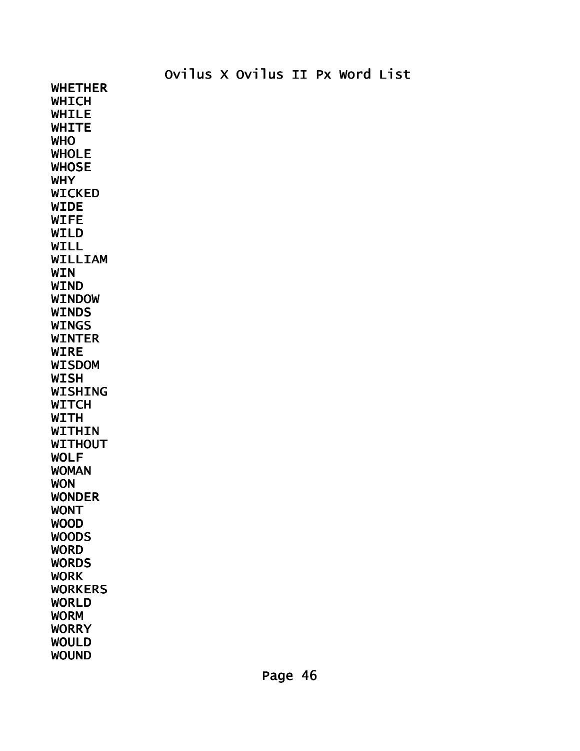WHETHER **WHICH** WHILE **WHITE** WHO WHOLE **WHOSE** WHY WICKED WIDE WIFE WILD WILL WILLIAM **WIN** WIND WINDOW **WINDS** WINGS WINTER WIRE WISDOM WISH WISHING **WITCH WITH** WITHIN WITHOUT WOLF WOMAN **WON** WONDER WONT WOOD WOODS **WORD WORDS** WORK WORKERS WORLD WORM WORRY WOULD WOUND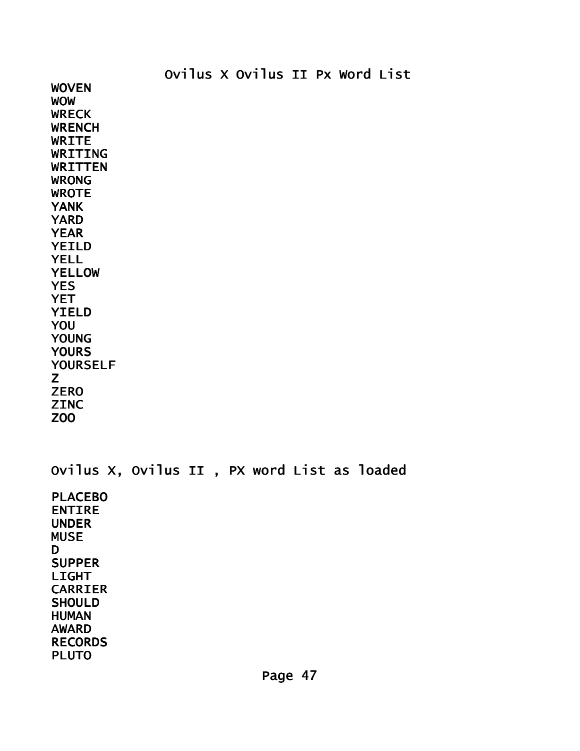WOVEN WOW **WRECK WRENCH** WRITE WRITING WRITTEN WRONG WROTE YANK YARD YEAR YEILD YELL **YELLOW** YES **YET** YIELD YOU YOUNG **YOURS** YOURSELF Z **ZERO** 

**ZINC** ZOO

Ovilus X, Ovilus II , PX word List as loaded PLACEBO ENTIRE UNDER MUSE D SUPPER LIGHT CARRIER **SHOULD** HUMAN AWARD RECORDS PLUTO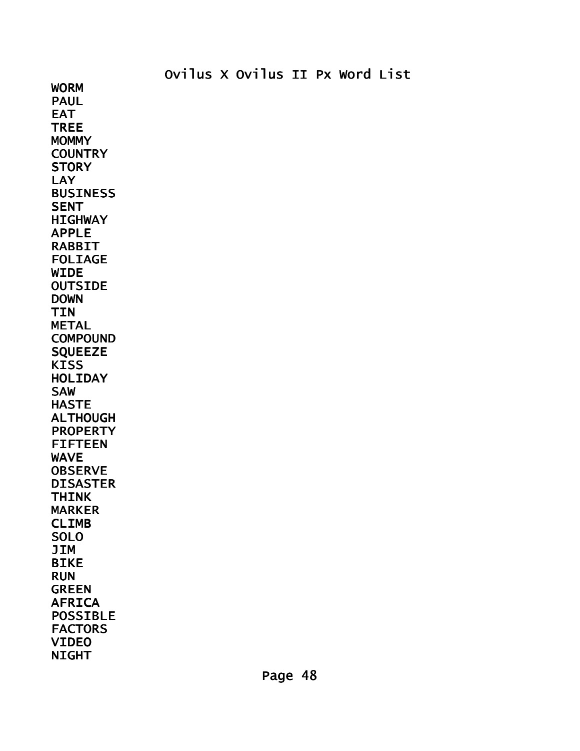WORM PAUL EAT TREE **MOMMY COUNTRY STORY LAY** BUSINESS **SENT HIGHWAY** APPLE RABBIT FOLIAGE WIDE OUTSIDE DOWN TIN METAL COMPOUND **SQUEEZE KISS** HOLIDAY SAW HASTE ALTHOUGH PROPERTY FIFTEEN WAVE OBSERVE DISASTER THINK MARKER CLIMB SOLO JIM BIKE RUN GREEN AFRICA POSSIBLE FACTORS VIDEO NIGHT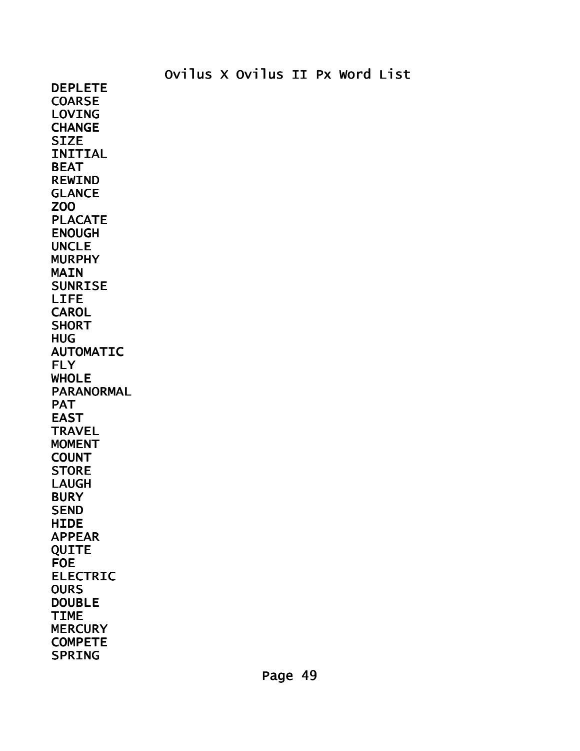DEPLETE **COARSE** LOVING **CHANGE** SIZE INITIAL BEAT REWIND GLANCE ZOO PLACATE ENOUGH UNCLE MURPHY **MAIN** SUNRISE LIFE **CAROL SHORT** HUG AUTOMATIC FLY WHOLE PARANORMAL **PAT** EAST **TRAVEL** MOMENT COUNT **STORE** LAUGH **BURY** SEND **HIDE** APPEAR QUITE FOE ELECTRIC **OURS** DOUBLE TIME **MERCURY COMPETE** SPRING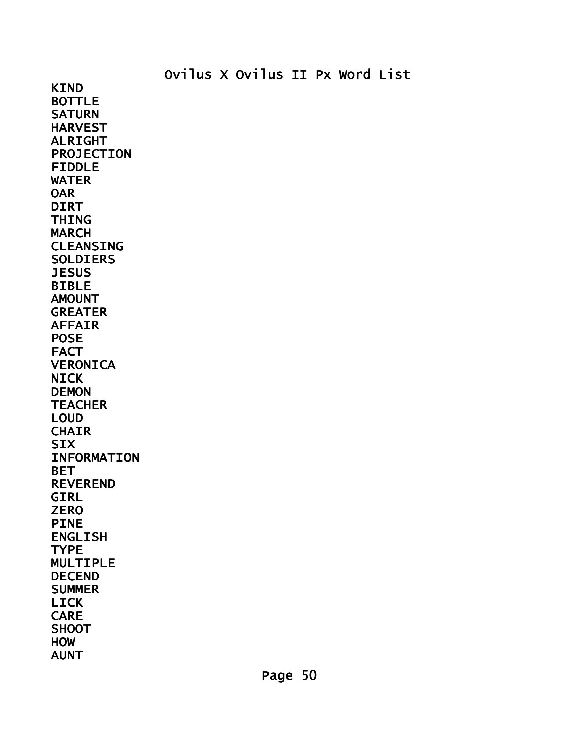KIND BOTTLE **SATURN** HARVEST ALRIGHT PROJECTION FIDDLE WATER **OAR** DIRT THING MARCH CLEANSING SOLDIERS **JESUS** BIBLE AMOUNT GREATER AFFAIR POSE FACT VERONICA NICK DEMON **TEACHER** LOUD **CHAIR SIX** INFORMATION BET REVEREND GIRL **ZERO** PINE ENGLISH **TYPE** MULTIPLE DECEND SUMMER LICK CARE **SHOOT HOW** AUNT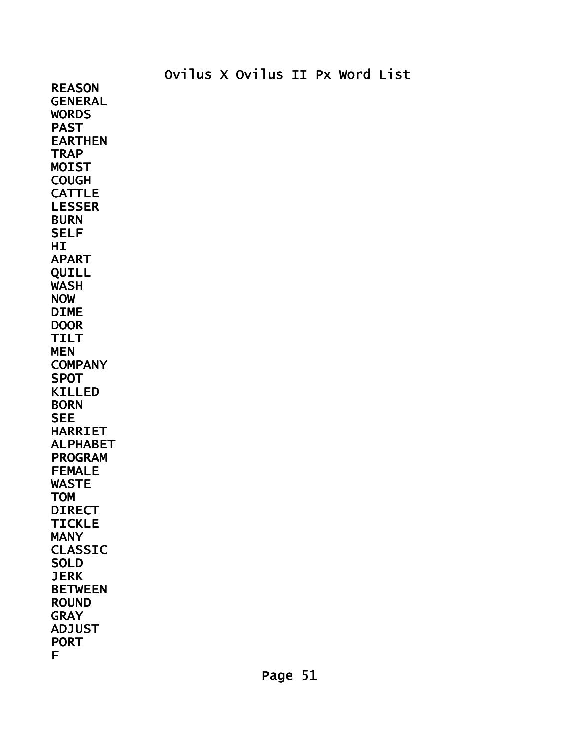REASON GENERAL **WORDS** PAST EARTHEN **TRAP** MOIST COUGH CATTLE LESSER **BURN** SELF HI<sub>1</sub> APART QUILL WASH NOW DIME **DOOR** TILT MEN **COMPANY** SPOT KILLED **BORN SEE** HARRIET ALPHABET PROGRAM FEMALE WASTE **TOM** DIRECT **TICKLE** MANY CLASSIC **SOLD JERK** BETWEEN ROUND GRAY ADJUST PORT F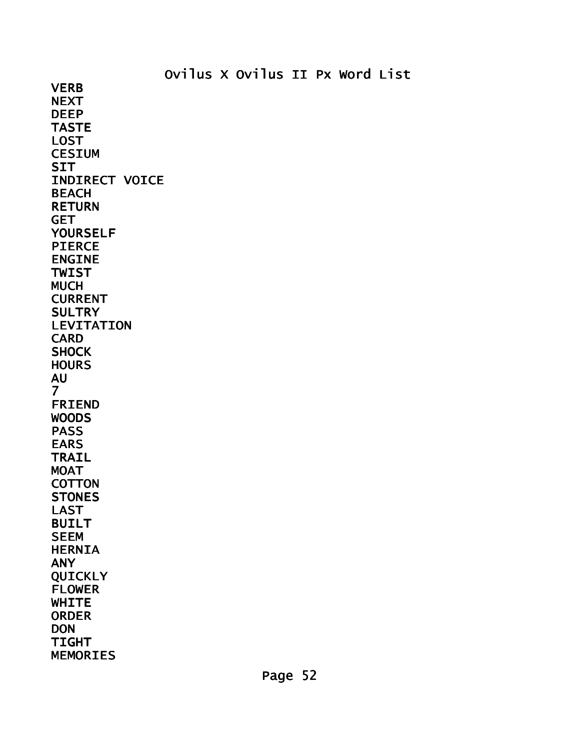**VERB NEXT** DEEP TASTE LOST **CESIUM SIT** INDIRECT VOICE BEACH RETURN **GET** YOURSELF PIERCE ENGINE TWIST MUCH CURRENT **SULTRY** LEVITATION CARD **SHOCK HOURS** AU 7 FRIEND WOODS PASS EARS TRAIL MOAT **COTTON STONES** LAST BUILT SEEM HERNIA ANY QUICKLY FLOWER **WHITE** ORDER DON TIGHT MEMORIES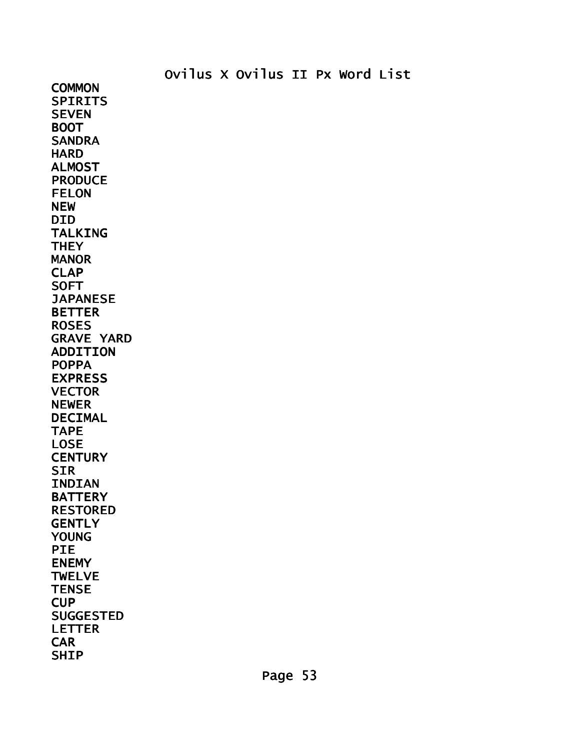**COMMON SPIRITS SEVEN** BOOT **SANDRA HARD** ALMOST PRODUCE FELON NEW DID TALKING **THEY MANOR** CLAP **SOFT JAPANESE** BETTER **ROSES** GRAVE YARD ADDITION POPPA EXPRESS **VECTOR** NEWER DECIMAL TAPE LOSE **CENTURY** SIR INDIAN BATTERY RESTORED **GENTLY** YOUNG PIE ENEMY **TWELVE TENSE** CUP SUGGESTED LETTER **CAR** SHIP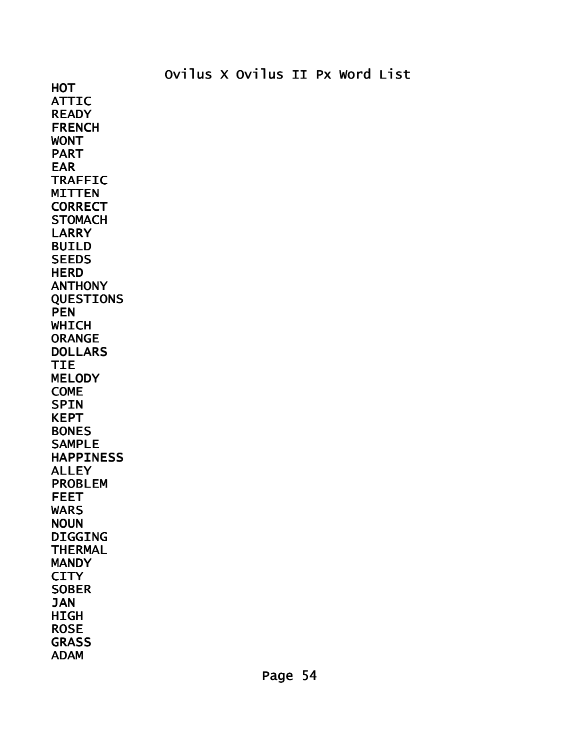ATTIC **READY FRENCH** WONT PART EAR TRAFFIC MITTEN **CORRECT STOMACH LARRY** BUILD **SEEDS HERD** ANTHONY QUESTIONS **PEN WHICH** ORANGE DOLLARS TIE **MELODY** COME **SPIN** KEPT BONES SAMPLE HAPPINESS ALLEY PROBLEM FEET WARS **NOUN** DIGGING THERMAL **MANDY CITY** SOBER JAN HIGH ROSE **GRASS** 

ADAM

**HOT**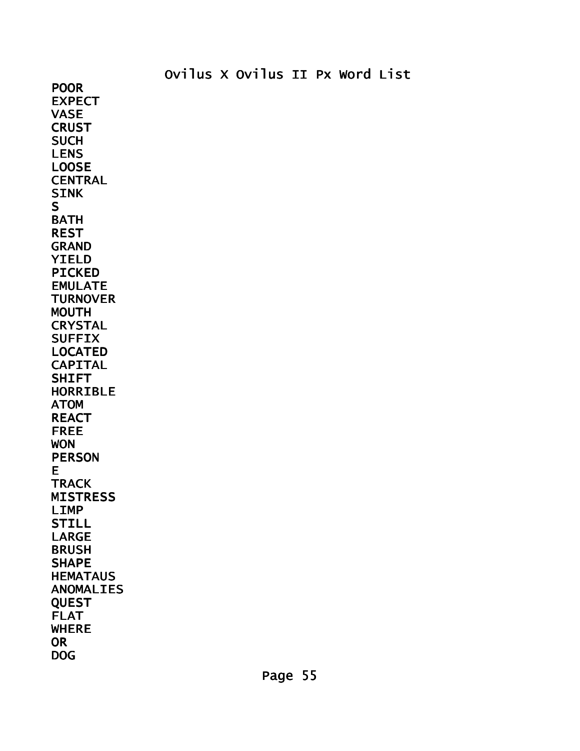POOR EXPECT VASE **CRUST SUCH** LENS LOOSE CENTRAL SINK S BATH REST GRAND YIELD PICKED EMULATE **TURNOVER** MOUTH **CRYSTAL SUFFIX** LOCATED CAPITAL **SHIFT** HORRIBLE ATOM REACT FREE WON PERSON E **TRACK MISTRESS** LIMP STILL LARGE BRUSH SHAPE **HEMATAUS** ANOMALIES **QUEST** FLAT WHERE **OR** DOG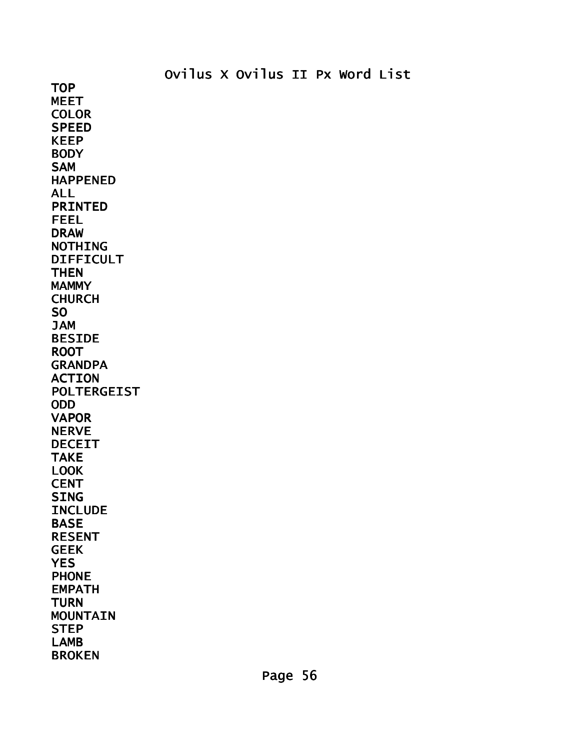TOP MEET **COLOR** SPEED KEEP **BODY** SAM HAPPENED ALL PRINTED FEEL DRAW NOTHING DIFFICULT **THEN MAMMY** CHURCH SO JAM BESIDE ROOT **GRANDPA** ACTION POLTERGEIST ODD VAPOR NERVE DECEIT TAKE LOOK **CENT** SING **INCLUDE** BASE RESENT GEEK **YES PHONE** EMPATH **TURN MOUNTAIN** STEP LAMB BROKEN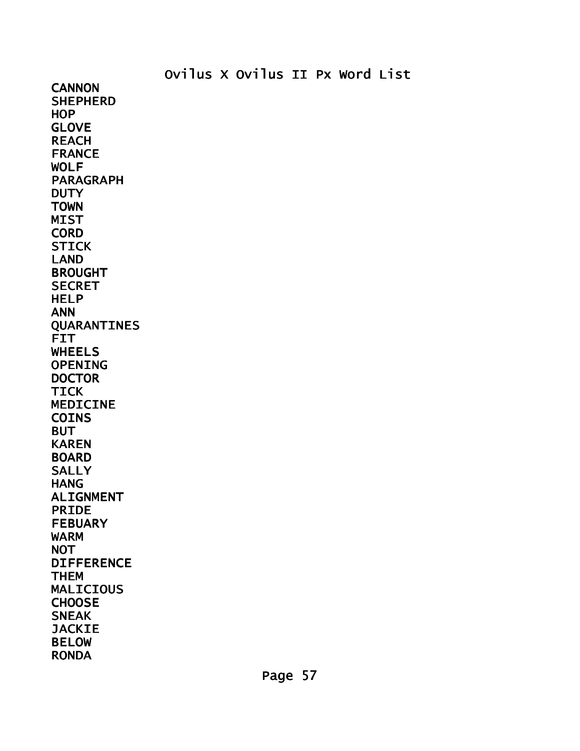**CANNON SHEPHERD** HOP GLOVE REACH FRANCE WOLF PARAGRAPH **DUTY** TOWN **MIST CORD STICK** LAND BROUGHT **SECRET** HELP ANN QUARANTINES FIT WHEELS OPENING **DOCTOR** TICK MEDICINE COINS **BUT** KAREN BOARD **SALLY** HANG ALIGNMENT PRIDE FEBUARY WARM NOT DIFFERENCE THEM MALICIOUS CHOOSE **SNEAK JACKIE** BELOW RONDA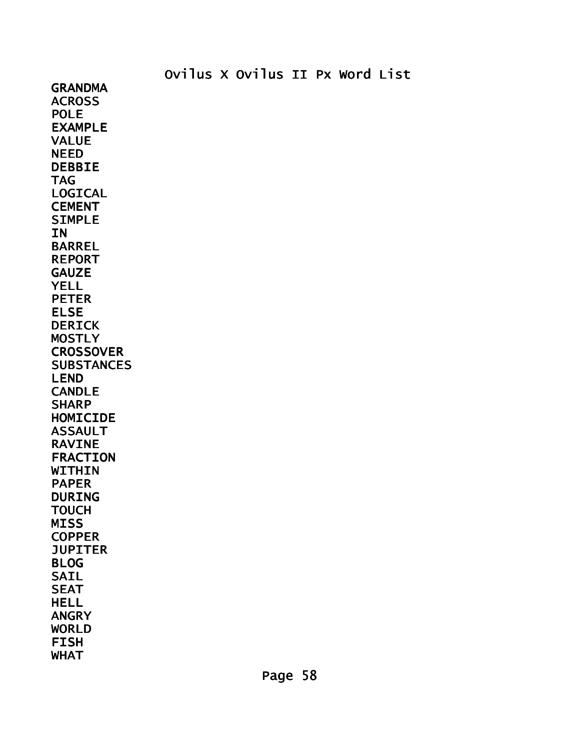GRANDMA **ACROSS** POLE EXAMPLE VALUE NEED DEBBIE TAG LOGICAL CEMENT SIMPLE **IN** BARREL REPORT **GAUZE** YELL PETER ELSE DERICK **MOSTLY CROSSOVER SUBSTANCES** LEND CANDLE **SHARP** HOMICIDE ASSAULT RAVINE FRACTION **WITHIN** PAPER DURING **TOUCH MISS COPPER JUPITER** BLOG SAIL SEAT HELL ANGRY WORLD FISH WHAT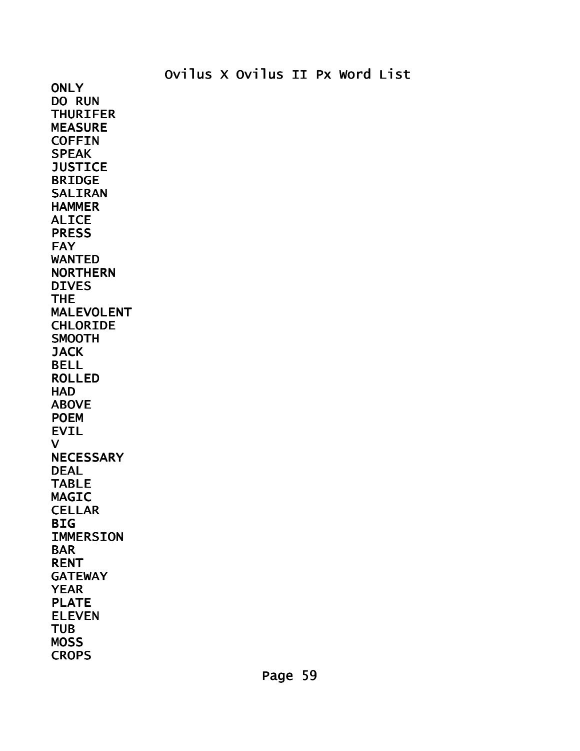**ONLY** DO RUN THURIFER MEASURE COFFIN SPEAK **JUSTICE** BRIDGE SALIRAN **HAMMER** ALICE PRESS **FAY** WANTED NORTHERN DIVES THE MALEVOLENT CHLORIDE SMOOTH **JACK** BELL ROLLED **HAD** ABOVE POEM EVIL V **NECESSARY** DEAL TABLE MAGIC **CELLAR BIG** IMMERSION BAR RENT GATEWAY YEAR PLATE ELEVEN TUB **MOSS CROPS**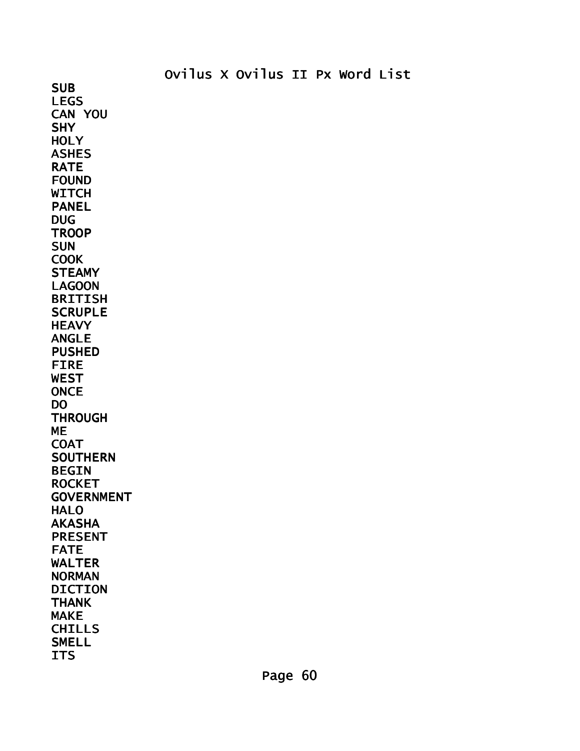**HOLY** ASHES RATE FOUND **WITCH** PANEL DUG **TROOP SUN COOK STEAMY** LAGOON BRITISH **SCRUPLE HEAVY** ANGLE PUSHED FIRE WEST **ONCE** DO **THROUGH** ME **COAT SOUTHERN** BEGIN **ROCKET GOVERNMENT** HALO AKASHA PRESENT FATE WALTER NORMAN DICTION THANK MAKE CHILLS **SMELL ITS** 

SUB LEGS CAN YOU

**SHY**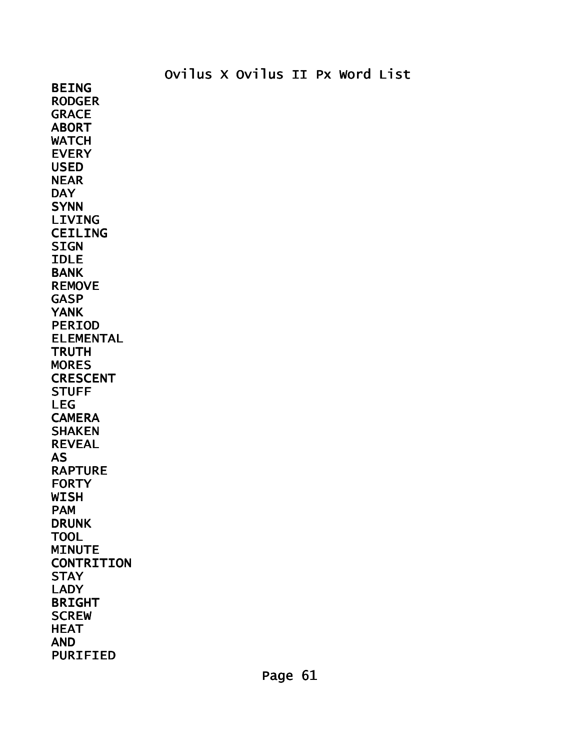BEING RODGER **GRACE** ABORT **WATCH** EVERY USED NEAR **DAY SYNN** LIVING CEILING **SIGN** IDLE BANK REMOVE GASP YANK PERIOD ELEMENTAL **TRUTH MORES** CRESCENT **STUFF** LEG **CAMERA** SHAKEN REVEAL AS RAPTURE **FORTY** WISH PAM DRUNK TOOL **MINUTE CONTRITION STAY** LADY BRIGHT **SCREW** HEAT AND PURIFIED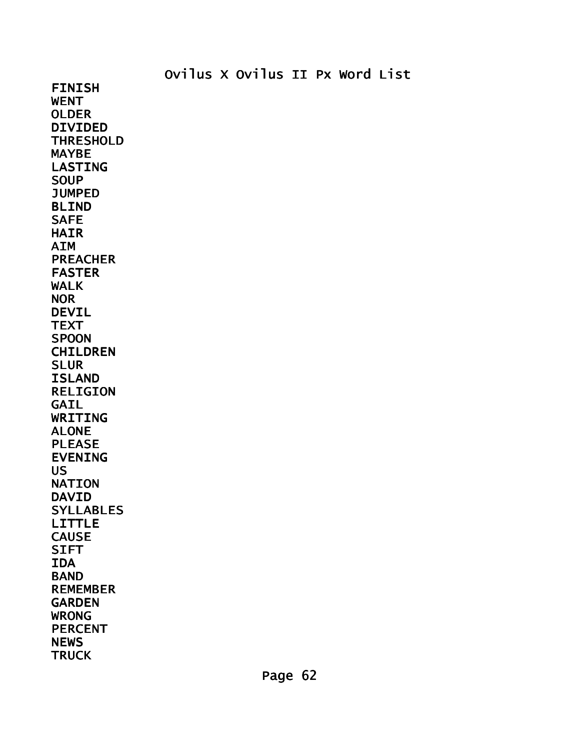FINISH WENT OLDER DIVIDED THRESHOLD MAYBE LASTING **SOUP JUMPED** BLIND **SAFE** HAIR AIM PREACHER FASTER WALK NOR DEVIL **TEXT** SPOON CHILDREN SLUR ISLAND RELIGION GAIL WRITING ALONE PLEASE EVENING US NATION DAVID SYLLABLES LITTLE CAUSE **SIFT** IDA BAND REMEMBER GARDEN WRONG PERCENT **NEWS TRUCK**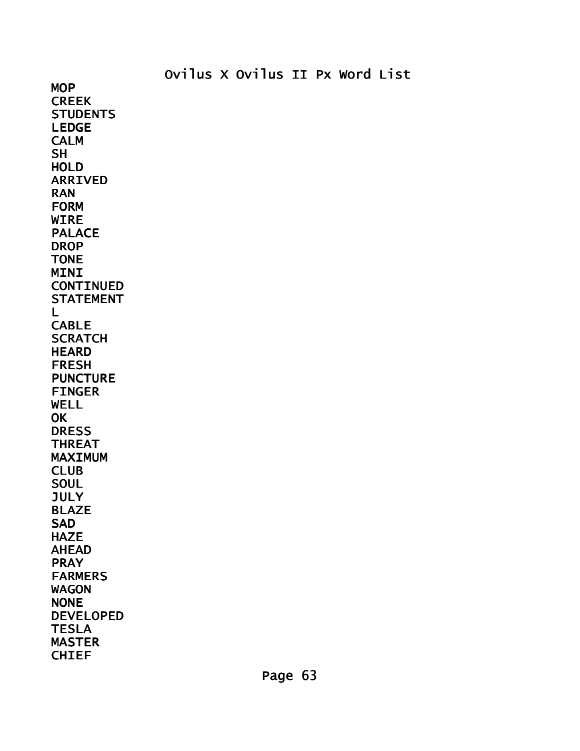MOP **CREEK STUDENTS** LEDGE CALM **SH** HOLD ARRIVED RAN FORM WIRE PALACE **DROP** TONE MINI CONTINUED STATEMENT L **CABLE SCRATCH HEARD** FRESH PUNCTURE FINGER WELL **OK DRESS** THREAT MAXIMUM CLUB **SOUL JULY** BLAZE **SAD** HAZE AHEAD PRAY FARMERS WAGON NONE DEVELOPED TESLA MASTER

CHIEF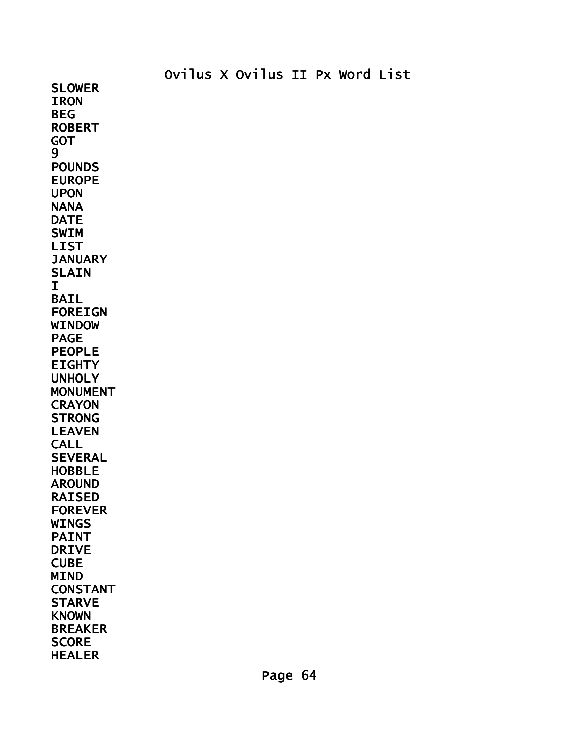SLOWER **IRON** BEG ROBERT GOT 9 POUNDS EUROPE UPON NANA DATE SWIM LIST **JANUARY SLAIN** I BAIL FOREIGN WINDOW PAGE PEOPLE **EIGHTY** UNHOLY MONUMENT **CRAYON STRONG** LEAVEN **CALL SEVERAL** HOBBLE AROUND RAISED FOREVER WINGS PAINT DRIVE **CUBE** MIND CONSTANT **STARVE KNOWN** BREAKER **SCORE** HEALER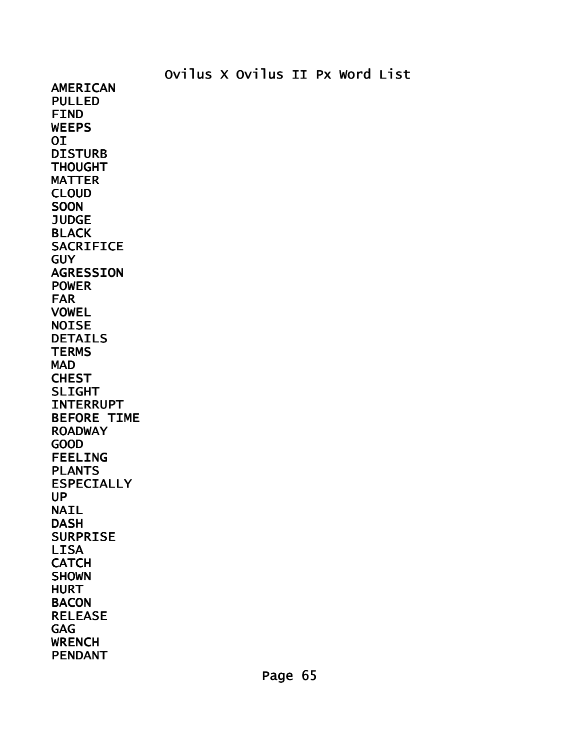AMERICAN PULLED FIND **WEEPS** OI DISTURB THOUGHT MATTER CLOUD **SOON JUDGE BLACK** SACRIFICE GUY AGRESSION POWER FAR VOWEL NOISE DETAILS **TERMS** MAD **CHEST** SLIGHT INTERRUPT BEFORE TIME ROADWAY GOOD FEELING PLANTS ESPECIALLY UP NAIL DASH SURPRISE LISA **CATCH SHOWN** HURT **BACON** RELEASE GAG WRENCH PENDANT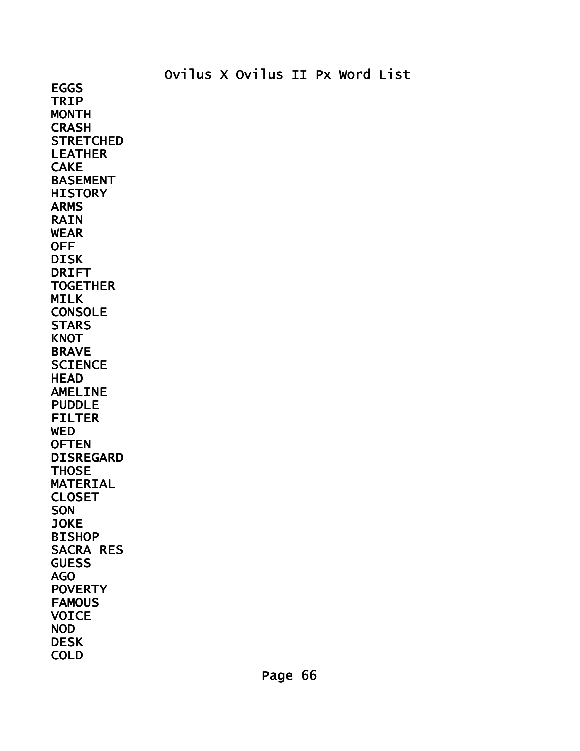EGGS TRIP MONTH **CRASH STRETCHED** LEATHER CAKE BASEMENT **HISTORY** ARMS RAIN WEAR OFF DISK DRIFT **TOGETHER** MILK CONSOLE **STARS KNOT** BRAVE **SCIENCE HEAD** AMELINE PUDDLE FILTER **WED OFTEN** DISREGARD **THOSE** MATERIAL CLOSET SON JOKE BISHOP SACRA RES **GUESS** AGO **POVERTY FAMOUS** VOICE NOD DESK COLD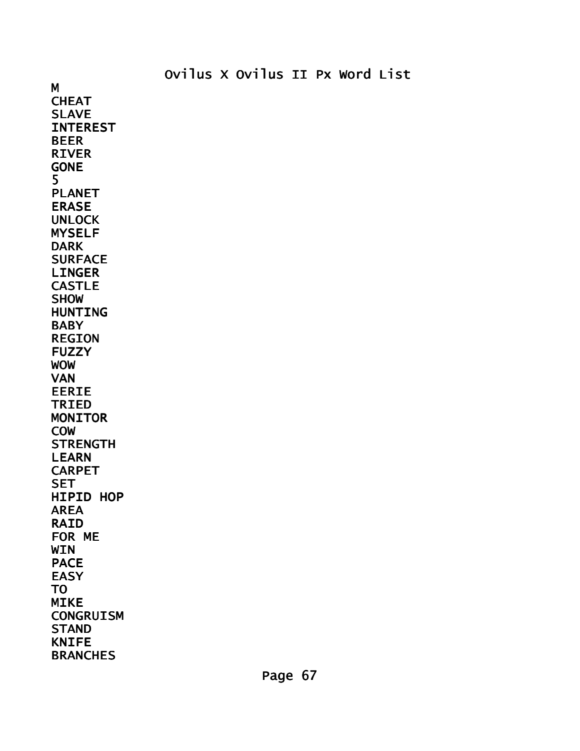M **CHEAT** SLAVE INTEREST BEER RIVER GONE 5 PLANET ERASE UNLOCK MYSELF DARK **SURFACE** LINGER CASTLE SHOW HUNTING **BABY** REGION FUZZY WOW VAN EERIE TRIED MONITOR COW **STRENGTH** LEARN CARPET **SET** HIPID HOP AREA RAID FOR ME WIN PACE EASY TO MIKE **CONGRUISM STAND** KNIFE BRANCHES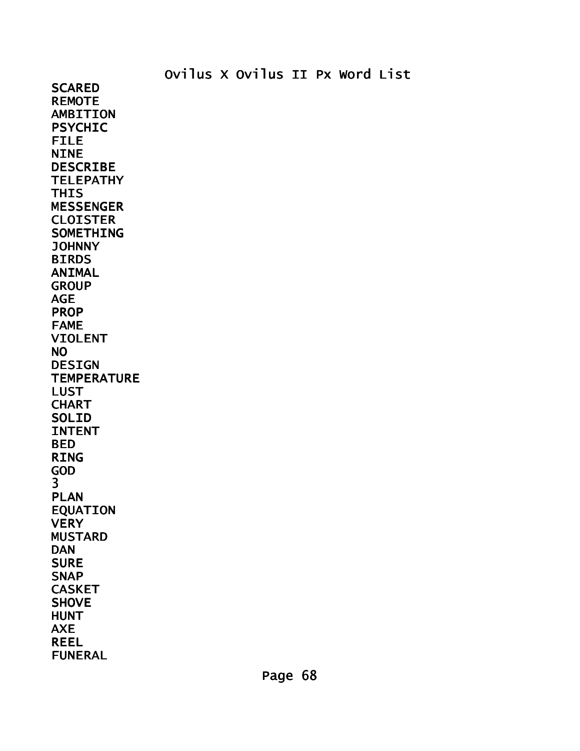**SCARED** REMOTE AMBITION PSYCHIC FILE **NINE** DESCRIBE **TELEPATHY THIS** MESSENGER **CLOISTER** SOMETHING JOHNNY **BIRDS** ANIMAL **GROUP** AGE PROP FAME VIOLENT NO DESIGN **TEMPERATURE** LUST **CHART** SOLID INTENT BED RING GOD 3 PLAN EQUATION **VERY** MUSTARD DAN **SURE** SNAP CASKET **SHOVE** HUNT AXE REEL FUNERAL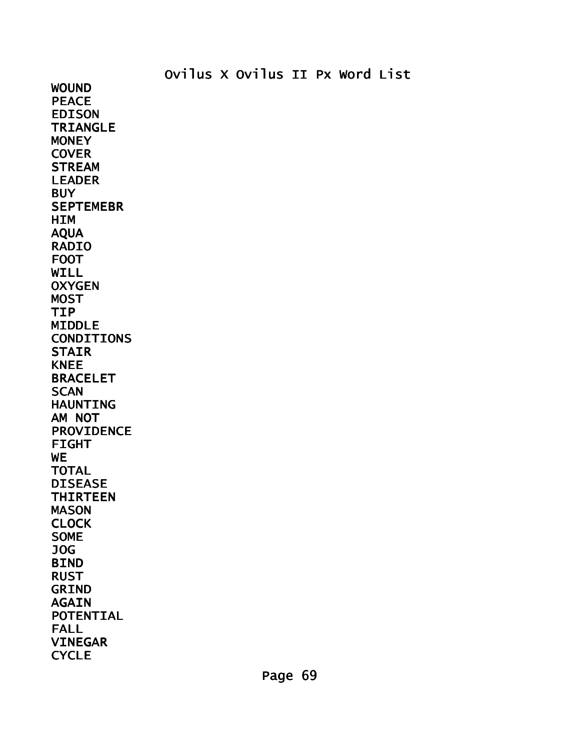WOUND PEACE EDISON TRIANGLE **MONEY COVER STREAM** LEADER **BUY SEPTEMEBR HIM** AQUA RADIO FOOT WILL **OXYGEN MOST** TIP MIDDLE CONDITIONS **STAIR** KNEE BRACELET **SCAN** HAUNTING AM NOT PROVIDENCE FIGHT **WE** TOTAL DISEASE THIRTEEN MASON **CLOCK** SOME JOG BIND RUST GRIND AGAIN POTENTIAL FALL VINEGAR **CYCLE**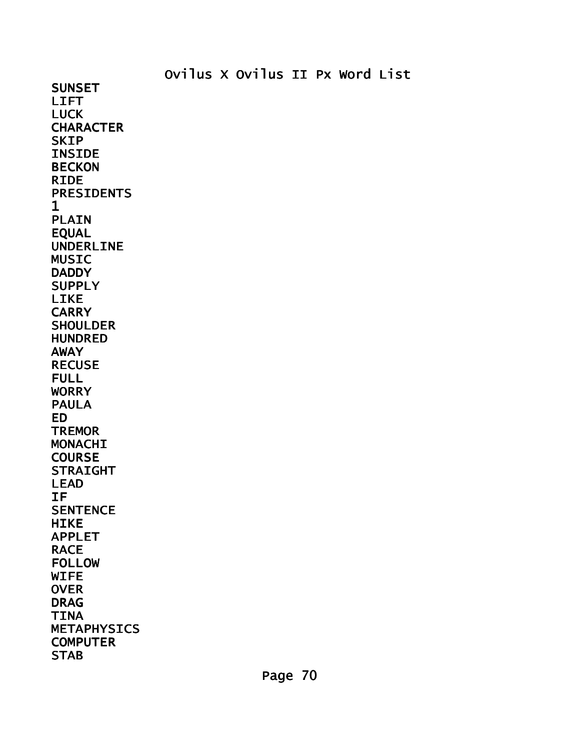SUNSET LIFT LUCK **CHARACTER SKIP** INSIDE BECKON RIDE PRESIDENTS 1 PLAIN EQUAL UNDERLINE MUSIC **DADDY SUPPLY** LIKE **CARRY SHOULDER** HUNDRED AWAY RECUSE FULL WORRY PAULA ED **TREMOR** MONACHI **COURSE** STRAIGHT LEAD IF **SENTENCE HIKE** APPLET RACE FOLLOW WIFE **OVER** DRAG TINA METAPHYSICS **COMPUTER STAB**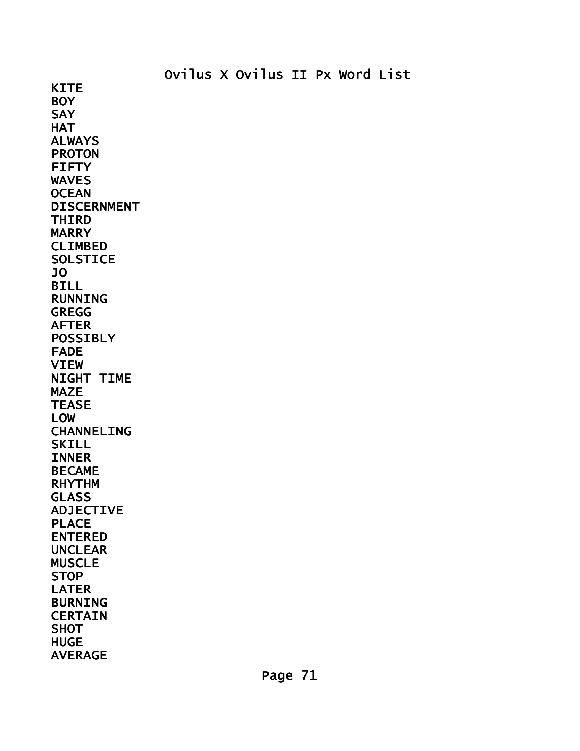**KITE BOY SAY HAT** ALWAYS PROTON FIFTY WAVES **OCEAN** DISCERNMENT THIRD MARRY CLIMBED **SOLSTICE** JO BILL RUNNING GREGG AFTER POSSIBLY FADE VIEW NIGHT TIME MAZE **TEASE** LOW CHANNELING **SKILL** INNER BECAME RHYTHM GLASS ADJECTIVE PLACE ENTERED UNCLEAR MUSCLE **STOP** LATER BURNING **CERTAIN SHOT HUGE** AVERAGE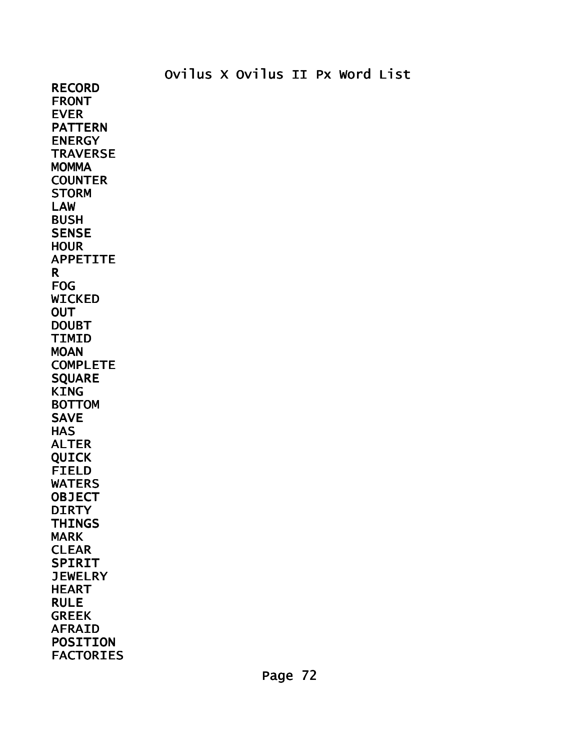RECORD FRONT EVER PATTERN ENERGY **TRAVERSE MOMMA** COUNTER **STORM** LAW BUSH **SENSE HOUR** APPETITE R FOG WICKED **OUT** DOUBT TIMID **MOAN** COMPLETE SQUARE KING BOTTOM SAVE **HAS** ALTER QUICK FIELD WATERS **OBJECT DIRTY THINGS** MARK CLEAR SPIRIT **JEWELRY** HEART RULE GREEK AFRAID POSITION FACTORIES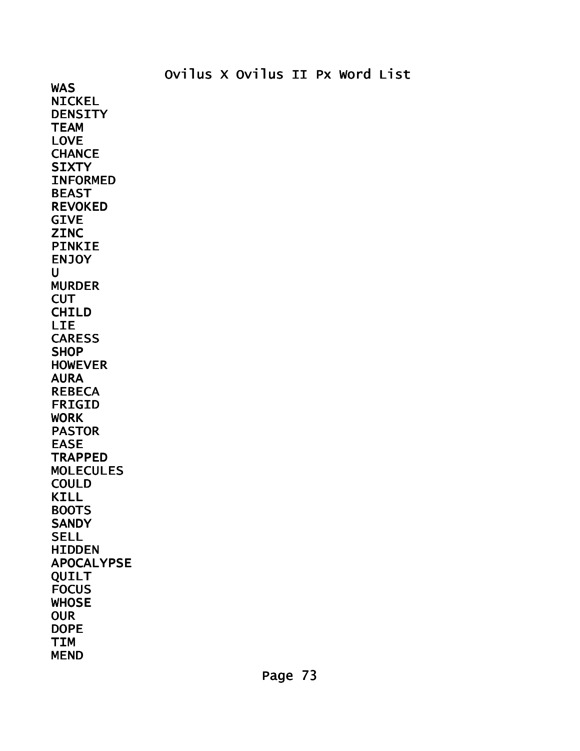WAS NICKEL **DENSITY TEAM** LOVE **CHANCE SIXTY** INFORMED BEAST REVOKED GIVE **ZINC** PINKIE **ENJOY**  $\mathbf{U}$ MURDER **CUT** CHILD LIE CARESS **SHOP** HOWEVER AURA REBECA FRIGID WORK PASTOR EASE **TRAPPED** MOLECULES COULD KILL BOOTS **SANDY SELL HIDDEN** APOCALYPSE QUILT **FOCUS WHOSE OUR** DOPE TIM MEND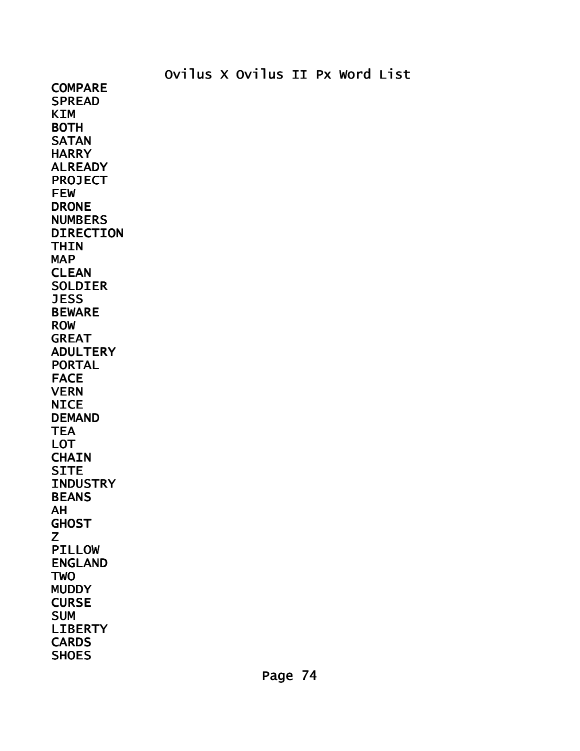**COMPARE SPREAD** KIM BOTH **SATAN HARRY** ALREADY PROJECT FEW DRONE NUMBERS DIRECTION **THIN** MAP CLEAN SOLDIER JESS BEWARE ROW GREAT ADULTERY PORTAL FACE VERN **NICE** DEMAND **TEA** LOT **CHAIN SITE INDUSTRY** BEANS AH **GHOST** Z PILLOW ENGLAND **TWO** MUDDY **CURSE** SUM LIBERTY **CARDS SHOES**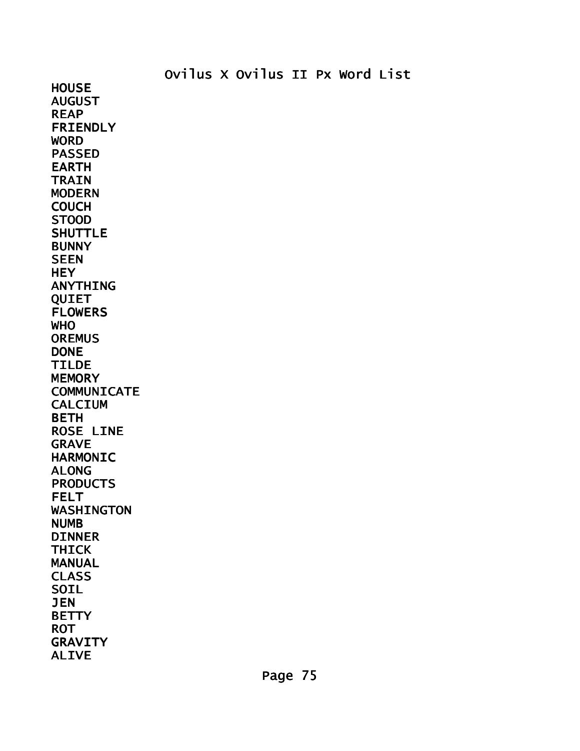**HOUSE** AUGUST REAP FRIENDLY **WORD** PASSED EARTH **TRAIN** MODERN COUCH STOOD SHUTTLE **BUNNY SEEN HEY** ANYTHING QUIET FLOWERS WHO **OREMUS** DONE TILDE **MEMORY COMMUNICATE** CALCIUM BETH ROSE LINE GRAVE HARMONIC ALONG **PRODUCTS** FELT WASHINGTON NUMB DINNER THICK MANUAL CLASS SOIL JEN **BETTY** ROT GRAVITY ALIVE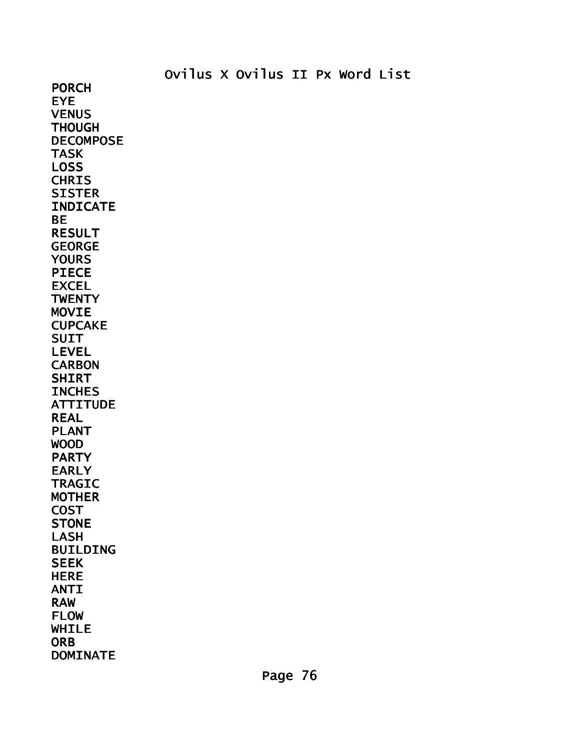PORCH EYE **VENUS THOUGH** DECOMPOSE TASK LOSS **CHRIS SISTER** INDICATE BE RESULT GEORGE **YOURS** PIECE EXCEL **TWENTY** MOVIE CUPCAKE SUIT LEVEL **CARBON** SHIRT **INCHES ATTITUDE** REAL PLANT WOOD PARTY EARLY TRAGIC MOTHER **COST STONE** LASH BUILDING **SEEK HERE** ANTI RAW FLOW WHILE **ORB** DOMINATE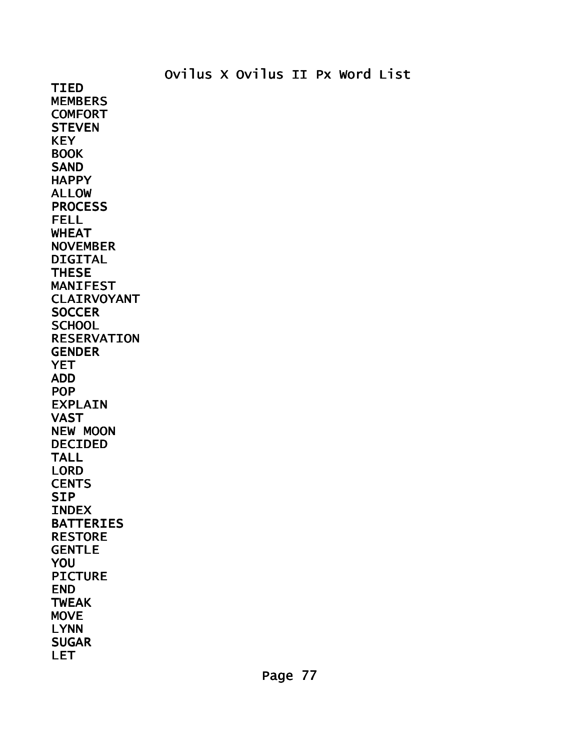TIED MEMBERS **COMFORT STEVEN KEY BOOK** SAND **HAPPY** ALLOW **PROCESS** FELL WHEAT NOVEMBER DIGITAL **THESE** MANIFEST CLAIRVOYANT **SOCCER SCHOOL** RESERVATION **GENDER YET** ADD POP EXPLAIN VAST NEW MOON DECIDED TALL LORD **CENTS SIP** INDEX BATTERIES RESTORE GENTLE YOU PICTURE END TWEAK **MOVE** LYNN **SUGAR** LET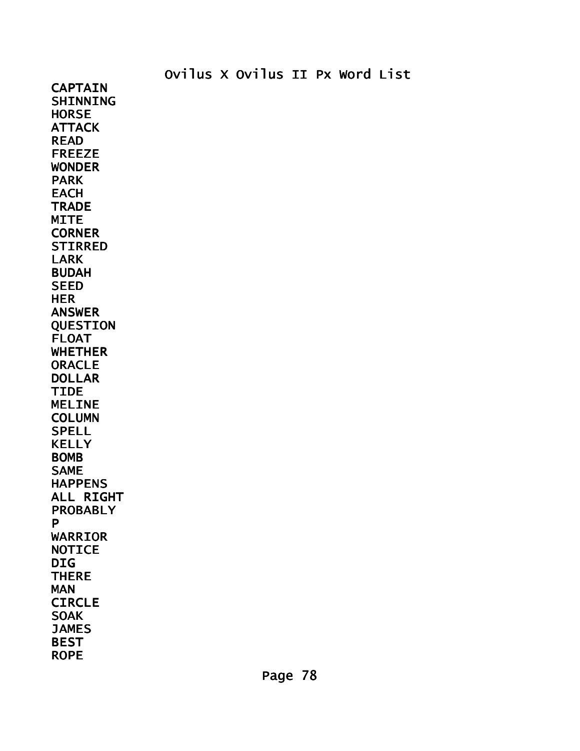CAPTAIN SHINNING **HORSE** ATTACK READ FREEZE WONDER PARK **EACH TRADE MITE CORNER** STIRRED LARK BUDAH SEED HER ANSWER QUESTION FLOAT WHETHER **ORACLE** DOLLAR TIDE MELINE **COLUMN** SPELL KELLY BOMB SAME HAPPENS ALL RIGHT PROBABLY P WARRIOR **NOTICE** DIG **THERE** MAN **CIRCLE SOAK JAMES BEST** ROPE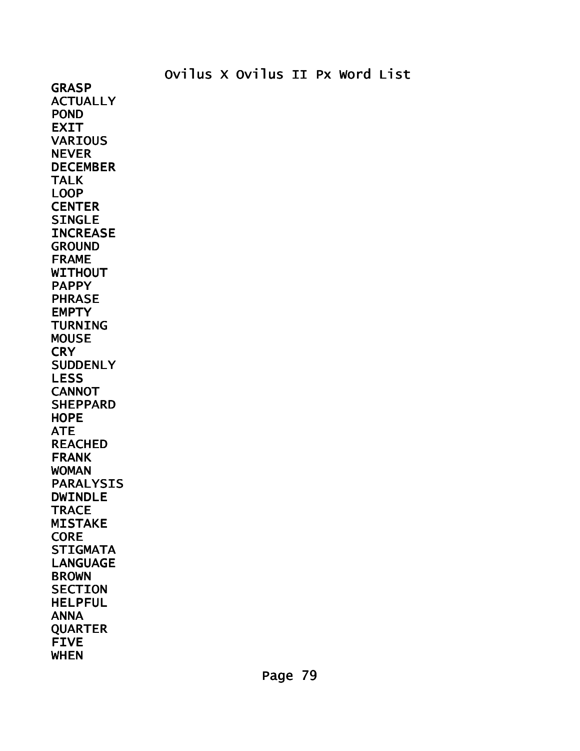**GRASP ACTUALLY** POND EXIT **VARIOUS** NEVER DECEMBER TALK LOOP **CENTER** SINGLE **INCREASE** GROUND FRAME WITHOUT PAPPY PHRASE **EMPTY** TURNING MOUSE **CRY SUDDENLY** LESS **CANNOT SHEPPARD HOPE** ATE REACHED FRANK WOMAN PARALYSIS DWINDLE **TRACE** MISTAKE **CORE STIGMATA** LANGUAGE BROWN **SECTION** HELPFUL ANNA QUARTER FIVE WHEN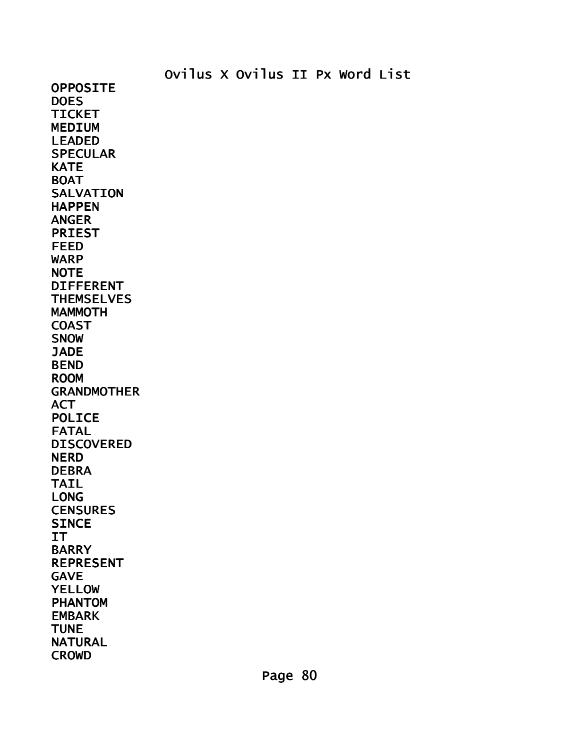OPPOSITE **DOES** TICKET MEDIUM LEADED **SPECULAR KATE** BOAT **SALVATION** HAPPEN ANGER PRIEST FEED WARP **NOTE** DIFFERENT **THEMSELVES MAMMOTH COAST** SNOW **JADE** BEND ROOM GRANDMOTHER ACT POLICE FATAL DISCOVERED **NERD** DEBRA TAIL LONG **CENSURES SINCE** IT BARRY REPRESENT GAVE YELLOW PHANTOM EMBARK **TUNE** NATURAL **CROWD**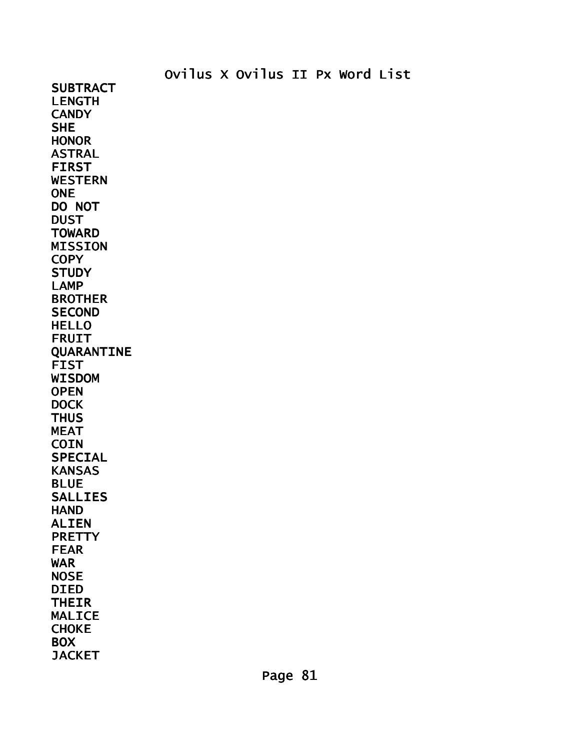**SUBTRACT** LENGTH **CANDY SHE HONOR** ASTRAL FIRST WESTERN **ONE** DO NOT DUST **TOWARD** MISSION **COPY STUDY** LAMP BROTHER **SECOND** HELLO FRUIT QUARANTINE FIST WISDOM **OPEN DOCK THUS** MEAT **COIN** SPECIAL KANSAS BLUE SALLIES **HAND** ALIEN **PRETTY** FEAR WAR **NOSE** DIED THEIR MALICE CHOKE **BOX JACKET**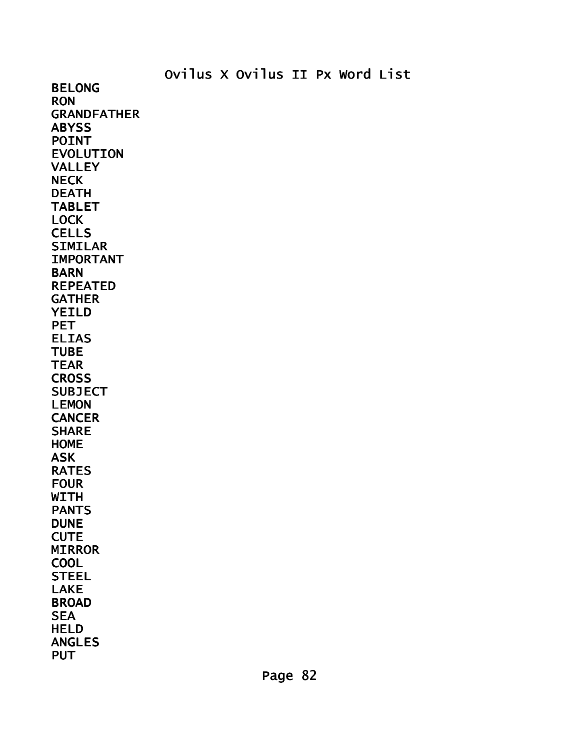Ovilus X Ovilus II Px Word List BELONG **RON** GRANDFATHER **ABYSS** POINT EVOLUTION VALLEY NECK DEATH TABLET LOCK **CELLS** SIMILAR IMPORTANT **BARN** REPEATED **GATHER** YEILD **PET** ELIAS TUBE TEAR **CROSS SUBJECT** LEMON **CANCER** SHARE HOME ASK RATES FOUR **WITH** PANTS **DUNE CUTE** MIRROR **COOL** STEEL LAKE BROAD **SEA** HELD ANGLES **PUT**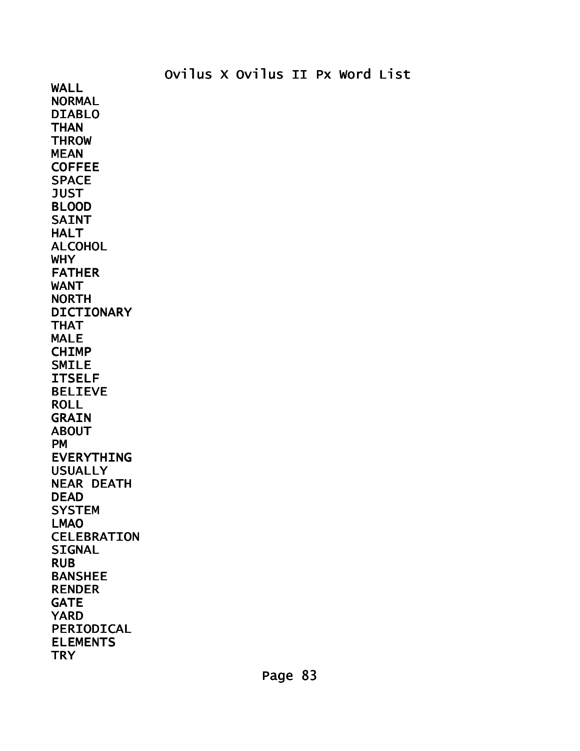NORMAL DIABLO **THAN THROW** MEAN **COFFEE** SPACE **JUST** BLOOD SAINT HALT ALCOHOL WHY FATHER WANT NORTH DICTIONARY THAT MALE CHIMP SMILE ITSELF BELIEVE ROLL **GRAIN** ABOUT PM EVERYTHING USUALLY NEAR DEATH DEAD **SYSTEM** LMAO CELEBRATION **SIGNAL** RUB BANSHEE RENDER GATE YARD PERIODICAL ELEMENTS **TRY** 

WALL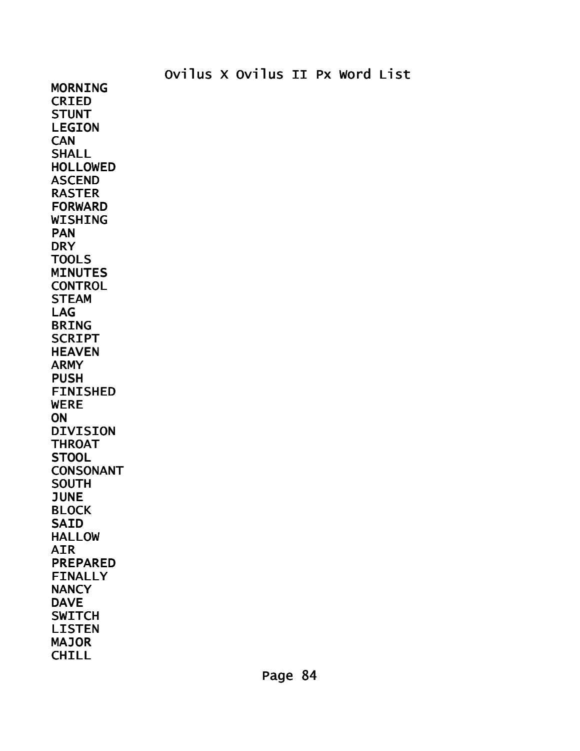MORNING CRIED **STUNT** LEGION **CAN SHALL** HOLLOWED ASCEND RASTER FORWARD WISHING PAN **DRY** TOOLS MINUTES **CONTROL** STEAM LAG BRING **SCRIPT** HEAVEN ARMY PUSH FINISHED WERE **ON** DIVISION **THROAT STOOL** CONSONANT SOUTH JUNE BLOCK SAID HALLOW AIR PREPARED FINALLY **NANCY** DAVE **SWITCH** LISTEN MAJOR **CHILL**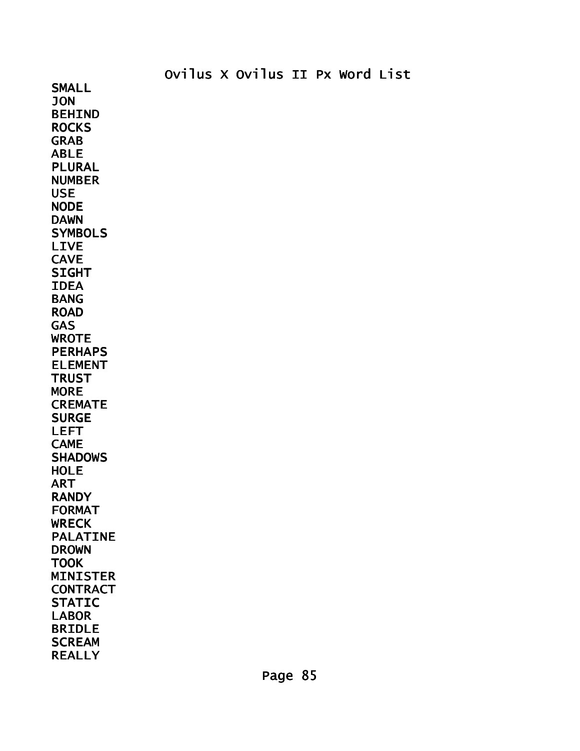SMALL JON BEHIND **ROCKS** GRAB ABLE PLURAL NUMBER USE NODE DAWN **SYMBOLS** LIVE **CAVE** SIGHT IDEA BANG ROAD **GAS** WROTE PERHAPS ELEMENT **TRUST MORE CREMATE** SURGE LEFT **CAME SHADOWS HOLE** ART RANDY FORMAT **WRECK** PALATINE DROWN **TOOK** MINISTER **CONTRACT STATIC** LABOR BRIDLE **SCREAM** REALLY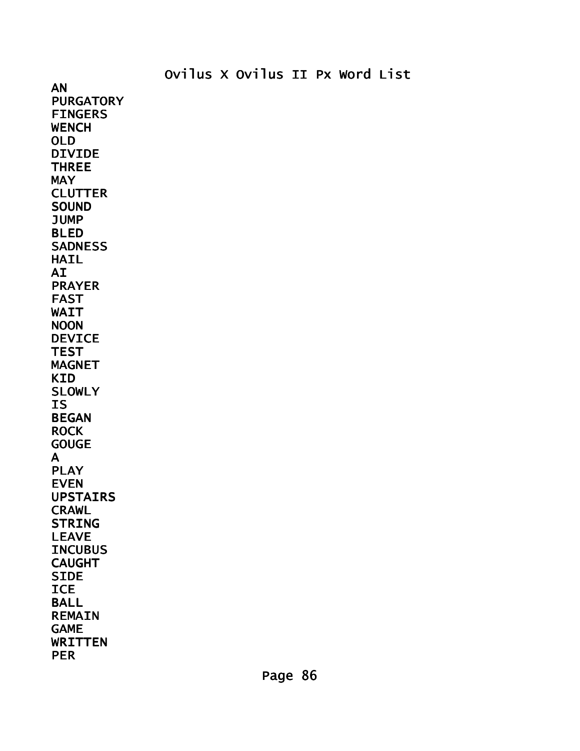AN **PURGATORY** FINGERS **WENCH** OLD DIVIDE THREE **MAY CLUTTER SOUND** JUMP BLED **SADNESS** HAIL AI PRAYER FAST WAIT NOON DEVICE **TEST** MAGNET KID SLOWLY IS BEGAN ROCK **GOUGE** A PLAY EVEN UPSTAIRS CRAWL **STRING** LEAVE **INCUBUS** CAUGHT **SIDE ICE** BALL REMAIN GAME WRITTEN PER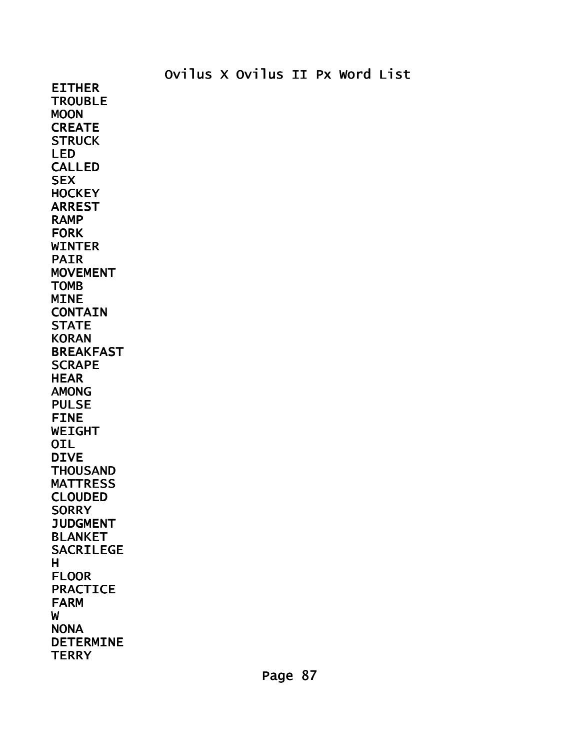EITHER **TROUBLE** MOON **CREATE STRUCK** LED CALLED **SEX HOCKEY** ARREST RAMP FORK WINTER PAIR MOVEMENT TOMB MINE **CONTAIN STATE** KORAN BREAKFAST **SCRAPE** HEAR AMONG PULSE FINE WEIGHT OIL DIVE **THOUSAND** MATTRESS CLOUDED **SORRY JUDGMENT** BLANKET SACRILEGE H FLOOR PRACTICE FARM W NONA DETERMINE **TERRY**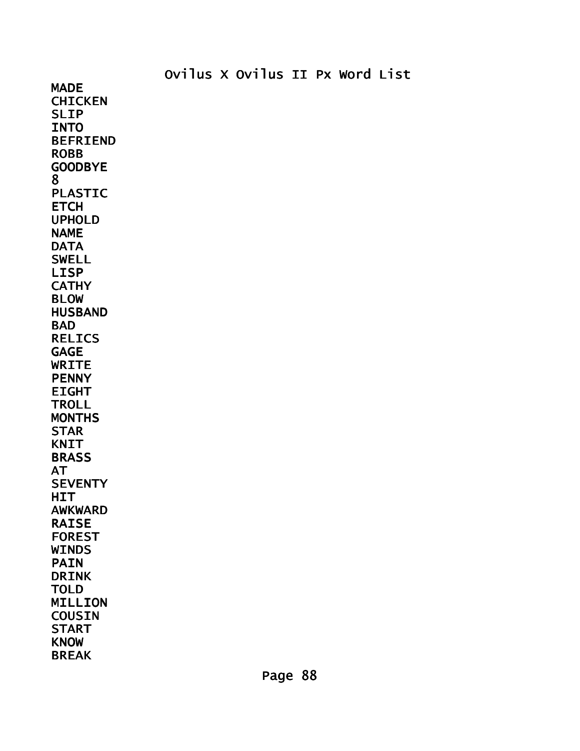MADE **CHICKEN** SLIP **INTO** BEFRIEND ROBB GOODBYE 8 PLASTIC **ETCH** UPHOLD NAME **DATA** SWELL LISP **CATHY** BLOW HUSBAND **BAD** RELICS GAGE WRITE **PENNY** EIGHT **TROLL MONTHS** STAR KNIT **BRASS** AT **SEVENTY HIT** AWKWARD RAISE FOREST **WINDS** PAIN DRINK TOLD MILLION **COUSIN** START KNOW BREAK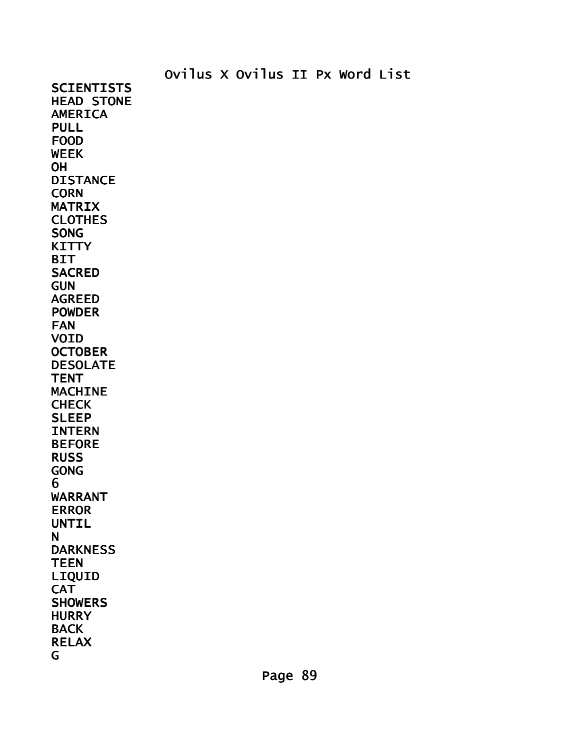Ovilus X Ovilus II Px Word List **SCIENTISTS** HEAD STONE DARKNESS

AMERICA PULL FOOD WEEK **OH** DISTANCE **CORN** MATRIX **CLOTHES** SONG **KITTY** BIT **SACRED** GUN AGREED POWDER FAN VOID **OCTOBER** DESOLATE **TENT** MACHINE **CHECK** SLEEP INTERN BEFORE RUSS GONG 6 WARRANT ERROR UNTIL

**CAT SHOWERS HURRY** BACK RELAX

N

**TEEN** LIQUID

G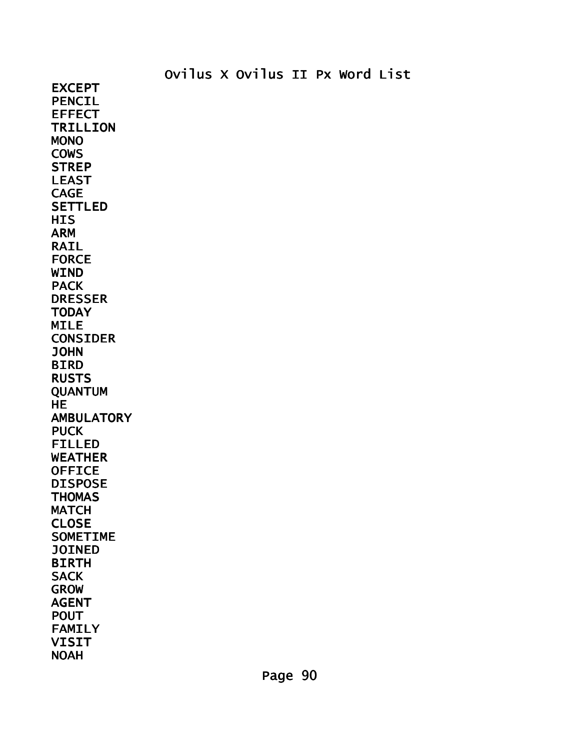EXCEPT PENCIL EFFECT TRILLION MONO COWS **STREP** LEAST CAGE SETTLED **HIS** ARM RAIL FORCE WIND PACK DRESSER TODAY MILE CONSIDER JOHN BIRD RUSTS **QUANTUM HE AMBULATORY PUCK** FILLED WEATHER **OFFICE** DISPOSE **THOMAS MATCH** CLOSE SOMETIME JOINED BIRTH **SACK** GROW AGENT POUT FAMILY VISIT NOAH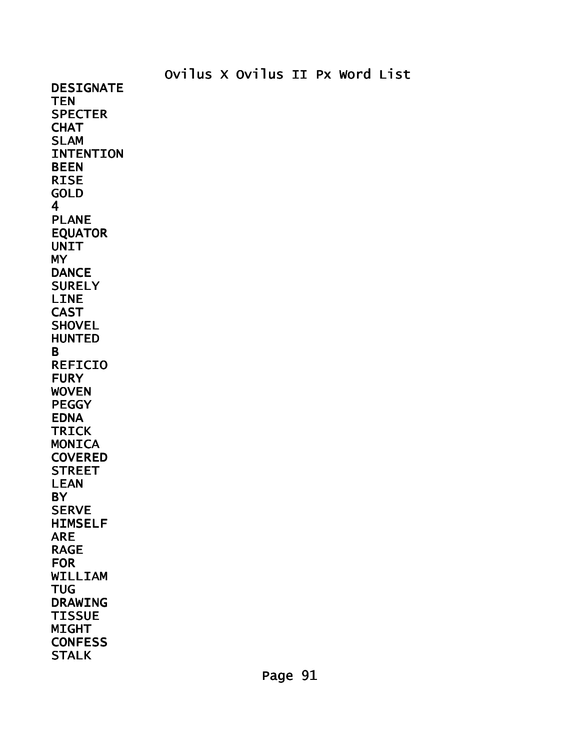DESIGNATE **TEN SPECTER CHAT** SLAM INTENTION BEEN RISE GOLD 4 PLANE EQUATOR **UNIT** MY **DANCE SURELY** LINE CAST **SHOVEL** HUNTED B REFICIO **FURY** WOVEN PEGGY EDNA TRICK **MONICA** COVERED **STREET** LEAN **BY SERVE** HIMSELF ARE RAGE FOR WILLIAM **TUG** DRAWING TISSUE MIGHT **CONFESS STALK**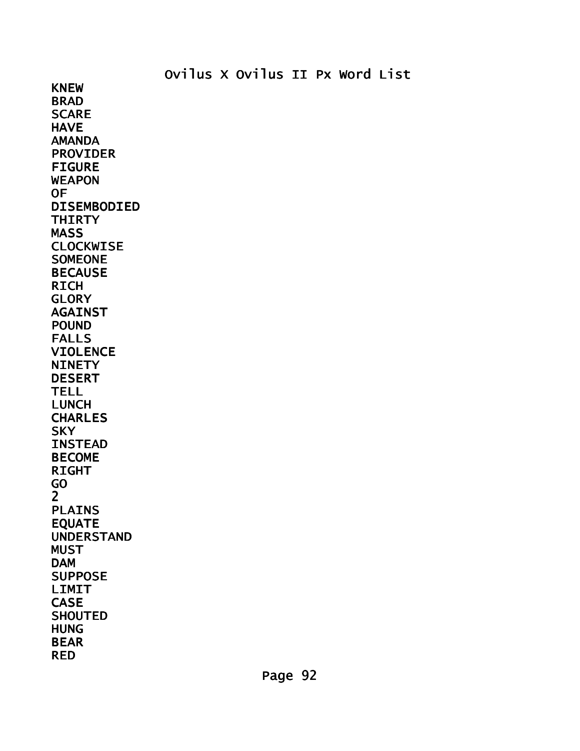KNEW BRAD **SCARE HAVE** AMANDA PROVIDER FIGURE WEAPON OF DISEMBODIED **THIRTY** MASS CLOCKWISE SOMEONE BECAUSE RICH **GLORY AGAINST** POUND FALLS VIOLENCE **NINETY** DESERT TELL LUNCH CHARLES **SKY** INSTEAD BECOME RIGHT GO 2 PLAINS EQUATE UNDERSTAND **MUST** DAM SUPPOSE LIMIT CASE **SHOUTED** HUNG BEAR

RED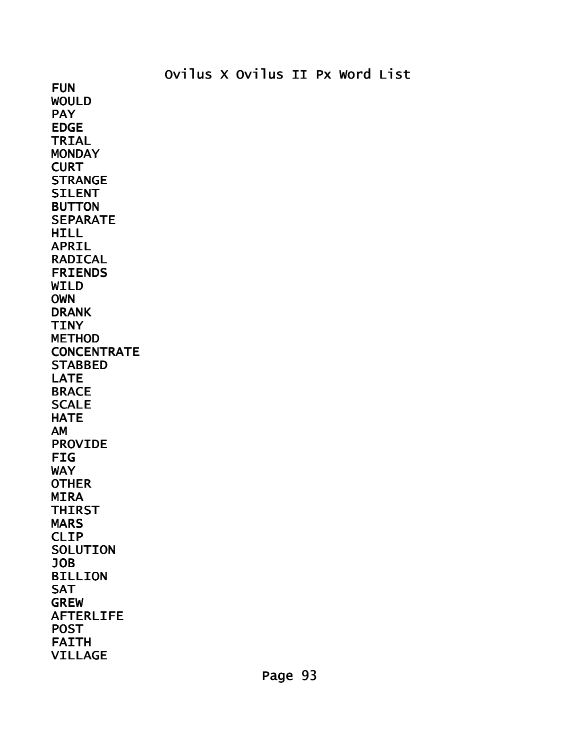FUN WOULD PAY EDGE TRIAL **MONDAY CURT STRANGE** SILENT BUTTON **SEPARATE** HILL APRIL RADICAL FRIENDS WILD OWN DRANK TINY METHOD **CONCENTRATE STABBED** LATE **BRACE SCALE HATE** AM PROVIDE FIG **WAY OTHER** MIRA THIRST **MARS** CLIP **SOLUTION** JOB BILLION SAT GREW AFTERLIFE POST FAITH VILLAGE